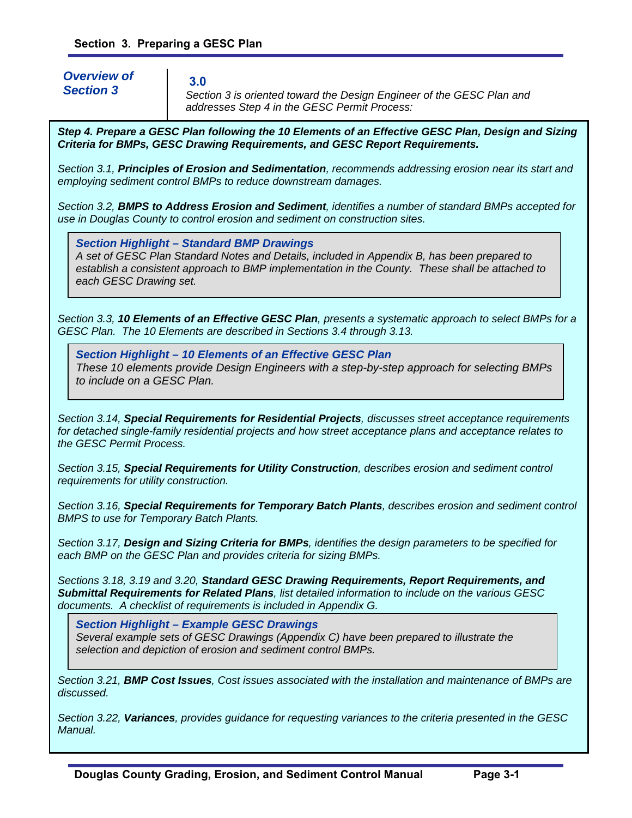*Overview of Section 3* 

**3.0** 

*Section 3 is oriented toward the Design Engineer of the GESC Plan and addresses Step 4 in the GESC Permit Process:* 

*Step 4. Prepare a GESC Plan following the 10 Elements of an Effective GESC Plan, Design and Sizing Criteria for BMPs, GESC Drawing Requirements, and GESC Report Requirements.*

*Section 3.1, Principles of Erosion and Sedimentation, recommends addressing erosion near its start and employing sediment control BMPs to reduce downstream damages.* 

*Section 3.2, BMPS to Address Erosion and Sediment, identifies a number of standard BMPs accepted for use in Douglas County to control erosion and sediment on construction sites.* 

*Section Highlight – Standard BMP Drawings*

*A set of GESC Plan Standard Notes and Details, included in Appendix B, has been prepared to establish a consistent approach to BMP implementation in the County. These shall be attached to each GESC Drawing set.* 

*Section 3.3, 10 Elements of an Effective GESC Plan, presents a systematic approach to select BMPs for a GESC Plan. The 10 Elements are described in Sections 3.4 through 3.13.* 

*Section Highlight – 10 Elements of an Effective GESC Plan These 10 elements provide Design Engineers with a step-by-step approach for selecting BMPs to include on a GESC Plan.* 

*Section 3.14, Special Requirements for Residential Projects, discusses street acceptance requirements for detached single-family residential projects and how street acceptance plans and acceptance relates to the GESC Permit Process.* 

*Section 3.15, Special Requirements for Utility Construction, describes erosion and sediment control requirements for utility construction.* 

*Section 3.16, Special Requirements for Temporary Batch Plants, describes erosion and sediment control BMPS to use for Temporary Batch Plants.* 

*Section 3.17, Design and Sizing Criteria for BMPs, identifies the design parameters to be specified for each BMP on the GESC Plan and provides criteria for sizing BMPs.* 

*Sections 3.18, 3.19 and 3.20, Standard GESC Drawing Requirements, Report Requirements, and Submittal Requirements for Related Plans, list detailed information to include on the various GESC documents. A checklist of requirements is included in Appendix G.* 

*Section Highlight – Example GESC Drawings* 

*Several example sets of GESC Drawings (Appendix C) have been prepared to illustrate the selection and depiction of erosion and sediment control BMPs.* 

*Section 3.21, BMP Cost Issues, Cost issues associated with the installation and maintenance of BMPs are discussed.* 

*Section 3.22, Variances, provides guidance for requesting variances to the criteria presented in the GESC Manual.*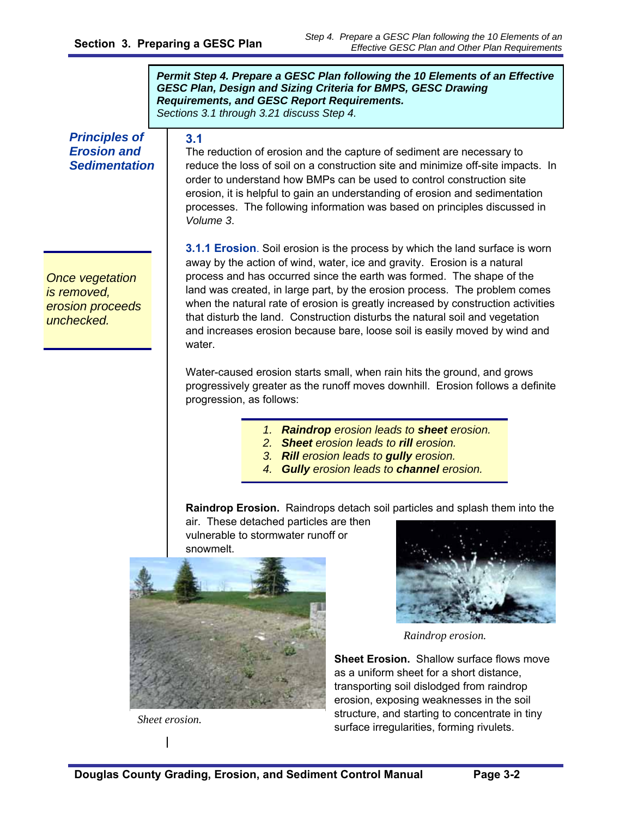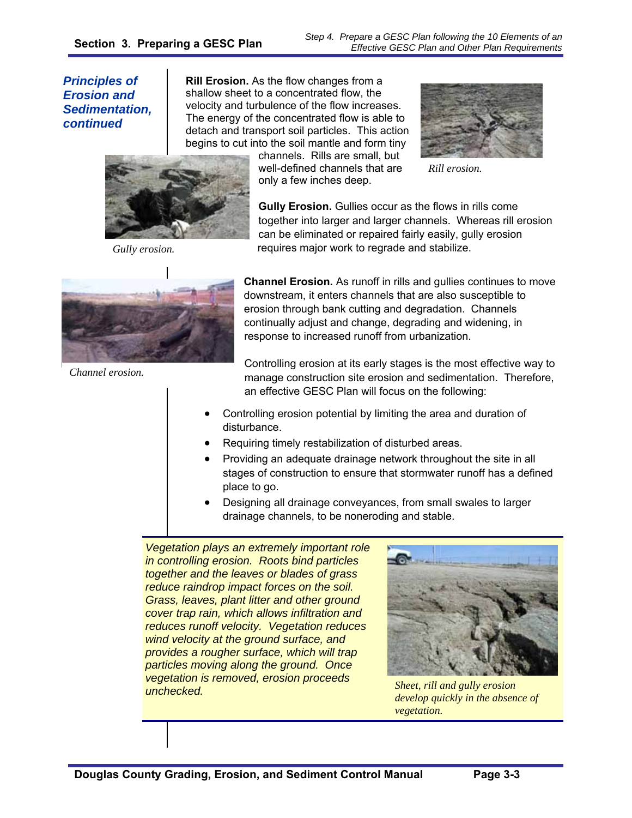*Step 4. Prepare a GESC Plan following the 10 Elements of an Effective GESC Plan and Other Plan Requirements*

*Principles of Erosion and Sedimentation, continued* 

**Rill Erosion.** As the flow changes from a shallow sheet to a concentrated flow, the velocity and turbulence of the flow increases. The energy of the concentrated flow is able to detach and transport soil particles. This action begins to cut into the soil mantle and form tiny

channels. Rills are small, but well-defined channels that are only a few inches deep.



*Rill erosion.* 



*Gully erosion.* 

**Gully Erosion.** Gullies occur as the flows in rills come together into larger and larger channels. Whereas rill erosion can be eliminated or repaired fairly easily, gully erosion requires major work to regrade and stabilize.



*Channel erosion.* 

**Channel Erosion.** As runoff in rills and gullies continues to move downstream, it enters channels that are also susceptible to erosion through bank cutting and degradation. Channels continually adjust and change, degrading and widening, in response to increased runoff from urbanization.

Controlling erosion at its early stages is the most effective way to manage construction site erosion and sedimentation. Therefore, an effective GESC Plan will focus on the following:

- Controlling erosion potential by limiting the area and duration of disturbance.
- Requiring timely restabilization of disturbed areas.
- Providing an adequate drainage network throughout the site in all stages of construction to ensure that stormwater runoff has a defined place to go.
- Designing all drainage conveyances, from small swales to larger drainage channels, to be noneroding and stable.

*Vegetation plays an extremely important role in controlling erosion. Roots bind particles together and the leaves or blades of grass reduce raindrop impact forces on the soil. Grass, leaves, plant litter and other ground cover trap rain, which allows infiltration and reduces runoff velocity. Vegetation reduces wind velocity at the ground surface, and provides a rougher surface, which will trap particles moving along the ground. Once vegetation is removed, erosion proceeds unchecked. Sheet, rill and gully erosion* 



*develop quickly in the absence of vegetation.*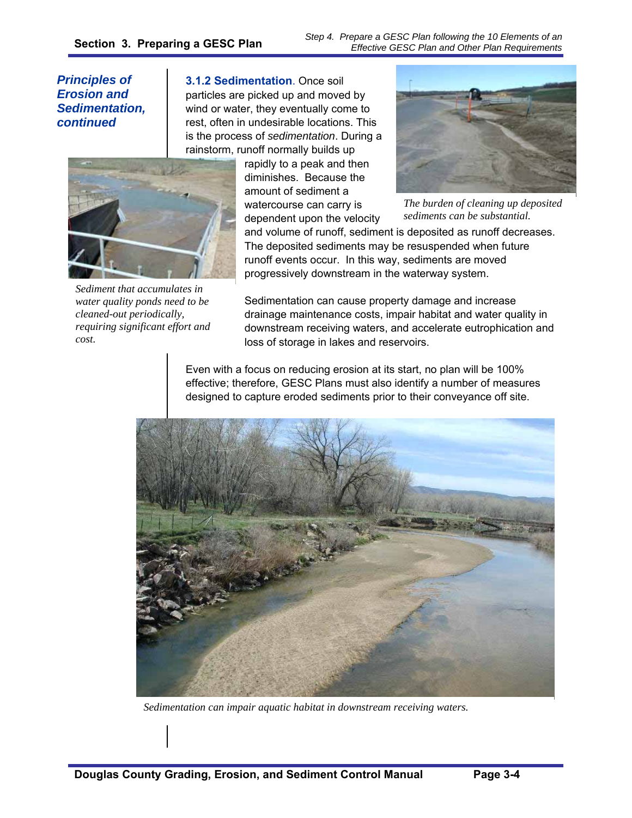*Step 4. Prepare a GESC Plan following the 10 Elements of an Effective GESC Plan and Other Plan Requirements*

*Principles of Erosion and Sedimentation, continued* 

**3.1.2 Sedimentation**. Once soil particles are picked up and moved by wind or water, they eventually come to rest, often in undesirable locations. This is the process of *sedimentation*. During a rainstorm, runoff normally builds up



*Sediment that accumulates in water quality ponds need to be cleaned-out periodically, requiring significant effort and cost.* 

rapidly to a peak and then diminishes. Because the amount of sediment a watercourse can carry is dependent upon the velocity



*The burden of cleaning up deposited sediments can be substantial.*

and volume of runoff, sediment is deposited as runoff decreases. The deposited sediments may be resuspended when future runoff events occur. In this way, sediments are moved progressively downstream in the waterway system.

Sedimentation can cause property damage and increase drainage maintenance costs, impair habitat and water quality in downstream receiving waters, and accelerate eutrophication and loss of storage in lakes and reservoirs.

Even with a focus on reducing erosion at its start, no plan will be 100% effective; therefore, GESC Plans must also identify a number of measures designed to capture eroded sediments prior to their conveyance off site.



*Sedimentation can impair aquatic habitat in downstream receiving waters.*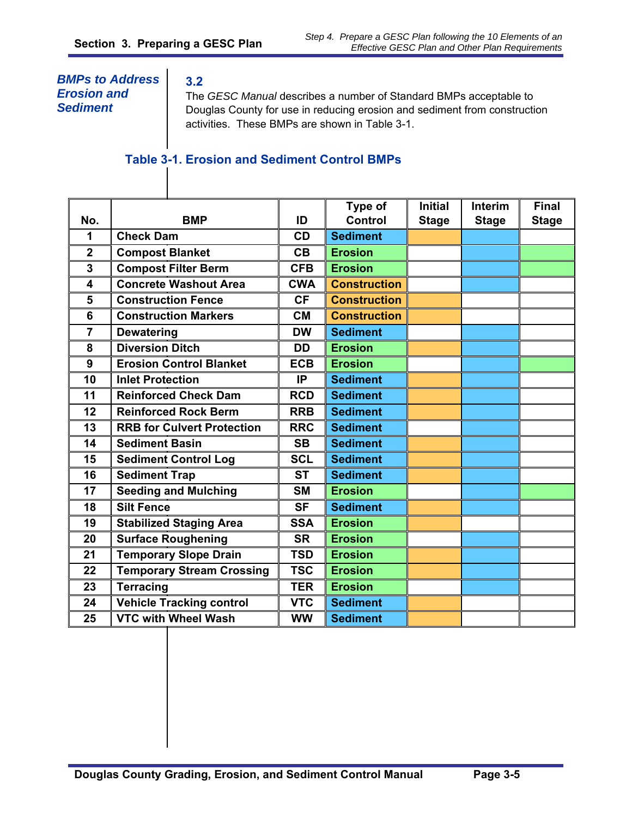## *BMPs to Address Erosion and Sediment*

**3.2** 

The *GESC Manual* describes a number of Standard BMPs acceptable to Douglas County for use in reducing erosion and sediment from construction activities. These BMPs are shown in Table 3-1.

# **Table 3-1. Erosion and Sediment Control BMPs**

|                  |                                   |            | Type of             | <b>Initial</b> | <b>Interim</b> | <b>Final</b> |
|------------------|-----------------------------------|------------|---------------------|----------------|----------------|--------------|
| No.              | <b>BMP</b>                        | ID         | Control             | <b>Stage</b>   | <b>Stage</b>   | <b>Stage</b> |
| 1                | <b>Check Dam</b>                  | <b>CD</b>  | <b>Sediment</b>     |                |                |              |
| $\overline{2}$   | <b>Compost Blanket</b>            | CB         | <b>Erosion</b>      |                |                |              |
| 3                | <b>Compost Filter Berm</b>        | <b>CFB</b> | <b>Erosion</b>      |                |                |              |
| 4                | <b>Concrete Washout Area</b>      | <b>CWA</b> | <b>Construction</b> |                |                |              |
| 5                | <b>Construction Fence</b>         | <b>CF</b>  | <b>Construction</b> |                |                |              |
| 6                | <b>Construction Markers</b>       | <b>CM</b>  | <b>Construction</b> |                |                |              |
| $\overline{7}$   | <b>Dewatering</b>                 | <b>DW</b>  | <b>Sediment</b>     |                |                |              |
| 8                | <b>Diversion Ditch</b>            | <b>DD</b>  | <b>Erosion</b>      |                |                |              |
| $\boldsymbol{9}$ | <b>Erosion Control Blanket</b>    | <b>ECB</b> | <b>Erosion</b>      |                |                |              |
| 10               | <b>Inlet Protection</b>           | IP         | <b>Sediment</b>     |                |                |              |
| 11               | <b>Reinforced Check Dam</b>       | <b>RCD</b> | <b>Sediment</b>     |                |                |              |
| 12               | <b>Reinforced Rock Berm</b>       | <b>RRB</b> | <b>Sediment</b>     |                |                |              |
| 13               | <b>RRB for Culvert Protection</b> | <b>RRC</b> | <b>Sediment</b>     |                |                |              |
| 14               | <b>Sediment Basin</b>             | <b>SB</b>  | <b>Sediment</b>     |                |                |              |
| 15               | <b>Sediment Control Log</b>       | <b>SCL</b> | <b>Sediment</b>     |                |                |              |
| 16               | <b>Sediment Trap</b>              | <b>ST</b>  | <b>Sediment</b>     |                |                |              |
| 17               | <b>Seeding and Mulching</b>       | <b>SM</b>  | <b>Erosion</b>      |                |                |              |
| 18               | <b>Silt Fence</b>                 | <b>SF</b>  | <b>Sediment</b>     |                |                |              |
| 19               | <b>Stabilized Staging Area</b>    | <b>SSA</b> | <b>Erosion</b>      |                |                |              |
| 20               | <b>Surface Roughening</b>         | <b>SR</b>  | <b>Erosion</b>      |                |                |              |
| 21               | <b>Temporary Slope Drain</b>      | <b>TSD</b> | <b>Erosion</b>      |                |                |              |
| 22               | <b>Temporary Stream Crossing</b>  | <b>TSC</b> | <b>Erosion</b>      |                |                |              |
| 23               | <b>Terracing</b>                  | <b>TER</b> | <b>Erosion</b>      |                |                |              |
| 24               | <b>Vehicle Tracking control</b>   | <b>VTC</b> | <b>Sediment</b>     |                |                |              |
| 25               | <b>VTC with Wheel Wash</b>        | <b>WW</b>  | <b>Sediment</b>     |                |                |              |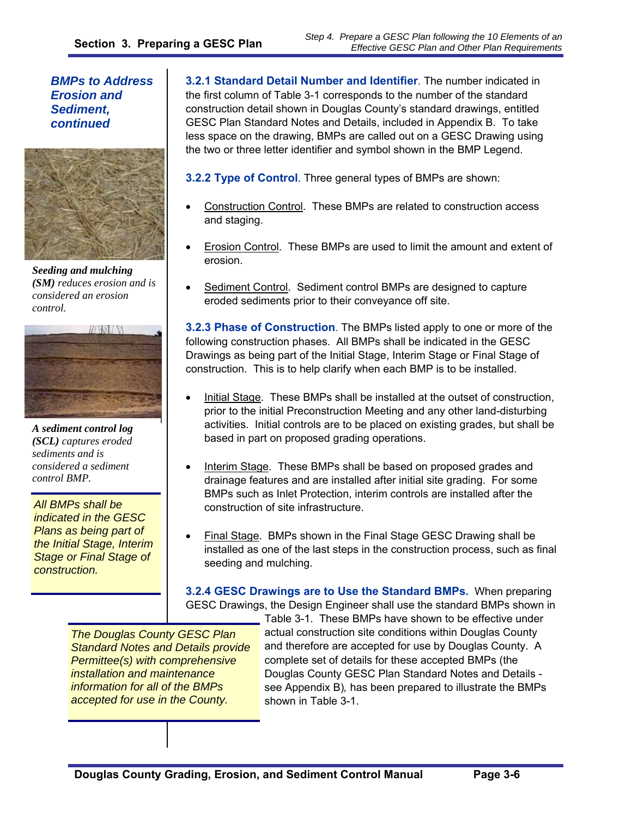*BMPs to Address Erosion and Sediment, continued* 



*Seeding and mulching (SM) reduces erosion and is considered an erosion control.* 



*A sediment control log (SCL) captures eroded sediments and is considered a sediment control BMP.* 

*All BMPs shall be indicated in the GESC Plans as being part of the Initial Stage, Interim Stage or Final Stage of construction.* 

**3.2.1 Standard Detail Number and Identifier**. The number indicated in the first column of Table 3-1 corresponds to the number of the standard construction detail shown in Douglas County's standard drawings, entitled GESC Plan Standard Notes and Details, included in Appendix B. To take less space on the drawing, BMPs are called out on a GESC Drawing using the two or three letter identifier and symbol shown in the BMP Legend.

**3.2.2 Type of Control**. Three general types of BMPs are shown:

- Construction Control. These BMPs are related to construction access and staging.
- Erosion Control. These BMPs are used to limit the amount and extent of erosion.
- Sediment Control. Sediment control BMPs are designed to capture eroded sediments prior to their conveyance off site.

**3.2.3 Phase of Construction**. The BMPs listed apply to one or more of the following construction phases. All BMPs shall be indicated in the GESC Drawings as being part of the Initial Stage, Interim Stage or Final Stage of construction. This is to help clarify when each BMP is to be installed.

- Initial Stage. These BMPs shall be installed at the outset of construction, prior to the initial Preconstruction Meeting and any other land-disturbing activities. Initial controls are to be placed on existing grades, but shall be based in part on proposed grading operations.
- Interim Stage. These BMPs shall be based on proposed grades and drainage features and are installed after initial site grading. For some BMPs such as Inlet Protection, interim controls are installed after the construction of site infrastructure.
- Final Stage. BMPs shown in the Final Stage GESC Drawing shall be installed as one of the last steps in the construction process, such as final seeding and mulching.

**3.2.4 GESC Drawings are to Use the Standard BMPs.** When preparing GESC Drawings, the Design Engineer shall use the standard BMPs shown in

*The Douglas County GESC Plan Standard Notes and Details provide Permittee(s) with comprehensive installation and maintenance information for all of the BMPs accepted for use in the County.* 

Table 3-1. These BMPs have shown to be effective under actual construction site conditions within Douglas County and therefore are accepted for use by Douglas County. A complete set of details for these accepted BMPs (the Douglas County GESC Plan Standard Notes and Details see Appendix B)*,* has been prepared to illustrate the BMPs shown in Table 3-1.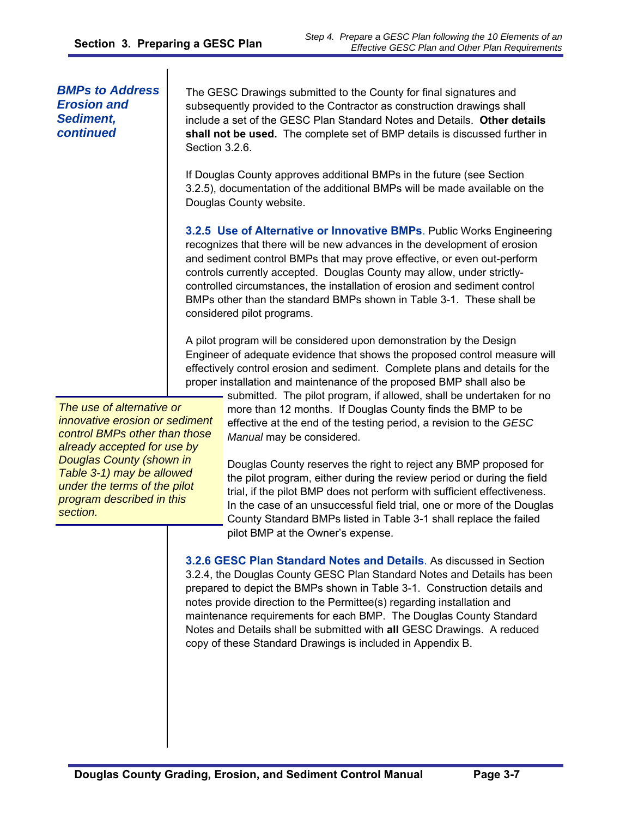#### *BMPs to Address Erosion and Sediment, continued*

The GESC Drawings submitted to the County for final signatures and subsequently provided to the Contractor as construction drawings shall include a set of the GESC Plan Standard Notes and Details. **Other details shall not be used.** The complete set of BMP details is discussed further in Section 3.2.6.

If Douglas County approves additional BMPs in the future (see Section 3.2.5), documentation of the additional BMPs will be made available on the Douglas County website.

**3.2.5 Use of Alternative or Innovative BMPs**. Public Works Engineering recognizes that there will be new advances in the development of erosion and sediment control BMPs that may prove effective, or even out-perform controls currently accepted. Douglas County may allow, under strictlycontrolled circumstances, the installation of erosion and sediment control BMPs other than the standard BMPs shown in Table 3-1. These shall be considered pilot programs.

A pilot program will be considered upon demonstration by the Design Engineer of adequate evidence that shows the proposed control measure will effectively control erosion and sediment. Complete plans and details for the proper installation and maintenance of the proposed BMP shall also be

*The use of alternative or innovative erosion or sediment control BMPs other than those already accepted for use by Douglas County (shown in Table 3-1) may be allowed under the terms of the pilot program described in this section.* 

submitted. The pilot program, if allowed, shall be undertaken for no more than 12 months. If Douglas County finds the BMP to be effective at the end of the testing period, a revision to the *GESC Manual* may be considered.

Douglas County reserves the right to reject any BMP proposed for the pilot program, either during the review period or during the field trial, if the pilot BMP does not perform with sufficient effectiveness. In the case of an unsuccessful field trial, one or more of the Douglas County Standard BMPs listed in Table 3-1 shall replace the failed pilot BMP at the Owner's expense.

**3.2.6 GESC Plan Standard Notes and Details**. As discussed in Section 3.2.4, the Douglas County GESC Plan Standard Notes and Details has been prepared to depict the BMPs shown in Table 3-1. Construction details and notes provide direction to the Permittee(s) regarding installation and maintenance requirements for each BMP. The Douglas County Standard Notes and Details shall be submitted with **all** GESC Drawings. A reduced copy of these Standard Drawings is included in Appendix B.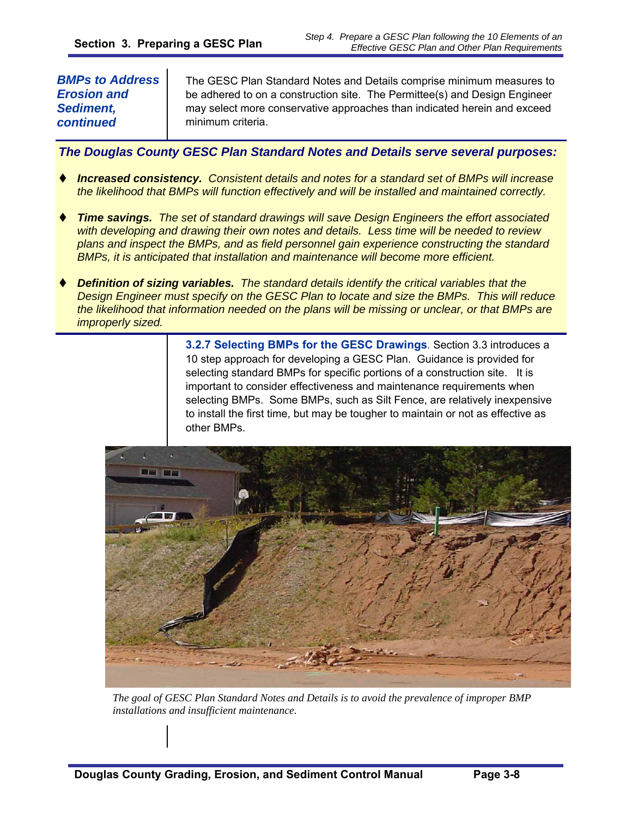#### *BMPs to Address Erosion and Sediment, continued*

The GESC Plan Standard Notes and Details comprise minimum measures to be adhered to on a construction site. The Permittee(s) and Design Engineer may select more conservative approaches than indicated herein and exceed minimum criteria.

*The Douglas County GESC Plan Standard Notes and Details serve several purposes:* 

- *Increased consistency. Consistent details and notes for a standard set of BMPs will increase the likelihood that BMPs will function effectively and will be installed and maintained correctly.*
- *Time savings. The set of standard drawings will save Design Engineers the effort associated with developing and drawing their own notes and details. Less time will be needed to review plans and inspect the BMPs, and as field personnel gain experience constructing the standard BMPs, it is anticipated that installation and maintenance will become more efficient.*
- *Definition of sizing variables. The standard details identify the critical variables that the Design Engineer must specify on the GESC Plan to locate and size the BMPs. This will reduce the likelihood that information needed on the plans will be missing or unclear, or that BMPs are improperly sized.*

**3.2.7 Selecting BMPs for the GESC Drawings**. Section 3.3 introduces a 10 step approach for developing a GESC Plan. Guidance is provided for selecting standard BMPs for specific portions of a construction site. It is important to consider effectiveness and maintenance requirements when selecting BMPs. Some BMPs, such as Silt Fence, are relatively inexpensive to install the first time, but may be tougher to maintain or not as effective as other BMPs.



*The goal of GESC Plan Standard Notes and Details is to avoid the prevalence of improper BMP installations and insufficient maintenance.*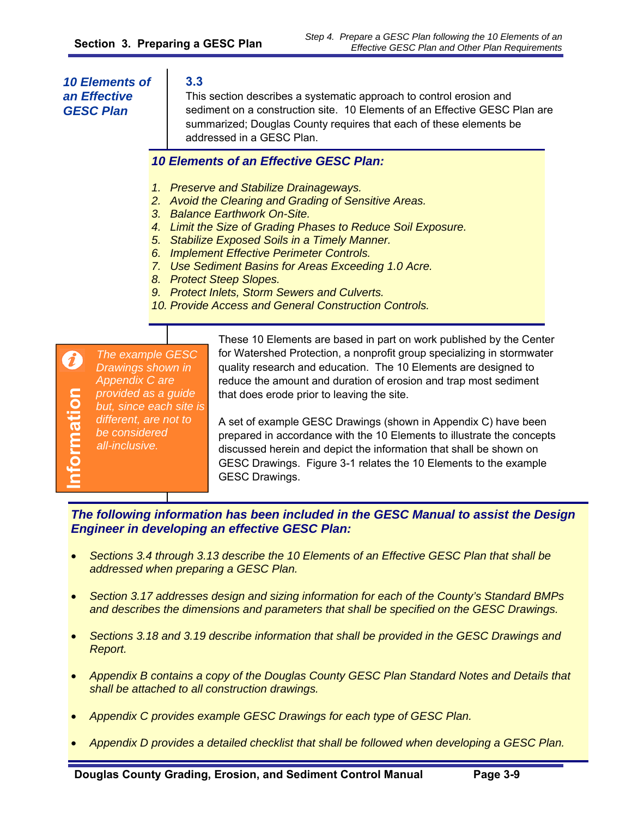#### *10 Elements of an Effective GESC Plan*

#### **3.3**

This section describes a systematic approach to control erosion and sediment on a construction site. 10 Elements of an Effective GESC Plan are summarized; Douglas County requires that each of these elements be addressed in a GESC Plan.

#### *10 Elements of an Effective GESC Plan:*

- *1. Preserve and Stabilize Drainageways.*
- *2. Avoid the Clearing and Grading of Sensitive Areas.*
- *3. Balance Earthwork On-Site.*
- *4. Limit the Size of Grading Phases to Reduce Soil Exposure.*
- *5. Stabilize Exposed Soils in a Timely Manner.*
- *6. Implement Effective Perimeter Controls.*
- *7. Use Sediment Basins for Areas Exceeding 1.0 Acre.*
- *8. Protect Steep Slopes.*
- *9. Protect Inlets, Storm Sewers and Culverts.*
- *10. Provide Access and General Construction Controls.*

*The example GESC*   $\boldsymbol{\vartheta}$ *Drawings shown in Appendix C are*  nformation **Information** *provided as a guide but, since each site is different, are not to be considered all-inclusive.* 

These 10 Elements are based in part on work published by the Center for Watershed Protection, a nonprofit group specializing in stormwater quality research and education. The 10 Elements are designed to reduce the amount and duration of erosion and trap most sediment that does erode prior to leaving the site.

A set of example GESC Drawings (shown in Appendix C) have been prepared in accordance with the 10 Elements to illustrate the concepts discussed herein and depict the information that shall be shown on GESC Drawings. Figure 3-1 relates the 10 Elements to the example GESC Drawings.

*The following information has been included in the GESC Manual to assist the Design Engineer in developing an effective GESC Plan:* 

- *Sections 3.4 through 3.13 describe the 10 Elements of an Effective GESC Plan that shall be addressed when preparing a GESC Plan.*
- *Section 3.17 addresses design and sizing information for each of the County's Standard BMPs and describes the dimensions and parameters that shall be specified on the GESC Drawings.*
- *Sections 3.18 and 3.19 describe information that shall be provided in the GESC Drawings and Report.*
- *Appendix B contains a copy of the Douglas County GESC Plan Standard Notes and Details that shall be attached to all construction drawings.*
- *Appendix C provides example GESC Drawings for each type of GESC Plan.*
- *Appendix D provides a detailed checklist that shall be followed when developing a GESC Plan.*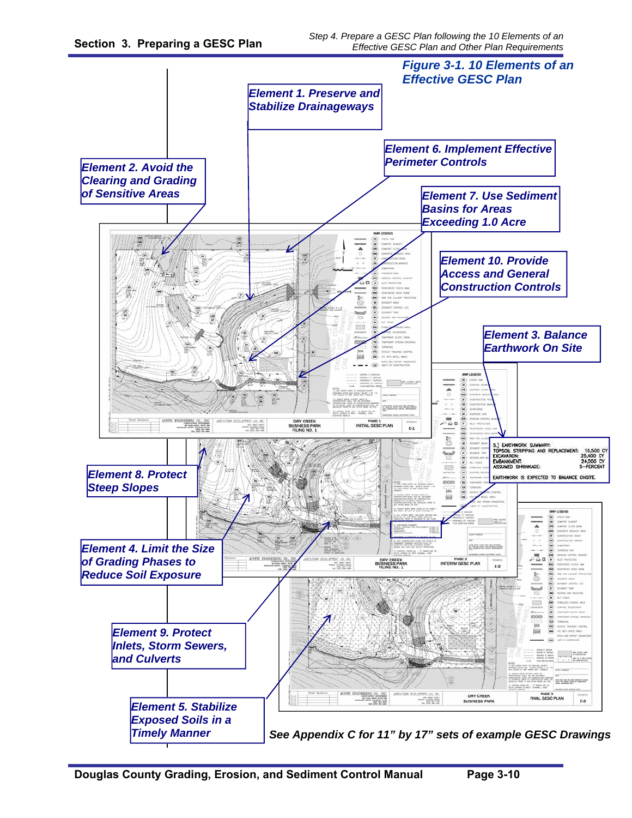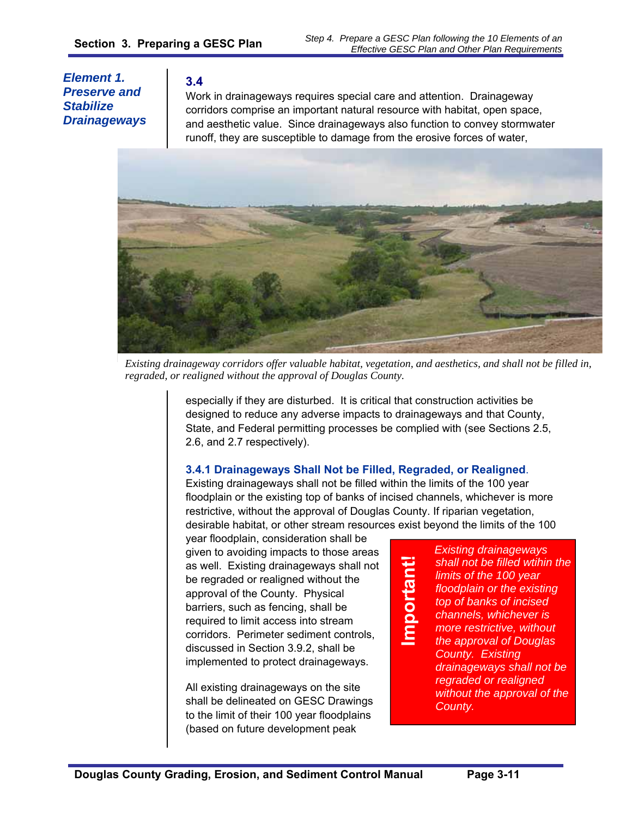*Element 1. Preserve and Stabilize Drainageways* 

#### **3.4**

Work in drainageways requires special care and attention. Drainageway corridors comprise an important natural resource with habitat, open space, and aesthetic value. Since drainageways also function to convey stormwater runoff, they are susceptible to damage from the erosive forces of water,



*Existing drainageway corridors offer valuable habitat, vegetation, and aesthetics, and shall not be filled in, regraded, or realigned without the approval of Douglas County.* 

especially if they are disturbed. It is critical that construction activities be designed to reduce any adverse impacts to drainageways and that County, State, and Federal permitting processes be complied with (see Sections 2.5, 2.6, and 2.7 respectively).

#### **3.4.1 Drainageways Shall Not be Filled, Regraded, or Realigned**.

Existing drainageways shall not be filled within the limits of the 100 year floodplain or the existing top of banks of incised channels, whichever is more restrictive, without the approval of Douglas County. If riparian vegetation, desirable habitat, or other stream resources exist beyond the limits of the 100

year floodplain, consideration shall be given to avoiding impacts to those areas as well. Existing drainageways shall not be regraded or realigned without the approval of the County. Physical barriers, such as fencing, shall be required to limit access into stream corridors. Perimeter sediment controls, discussed in Section 3.9.2, shall be implemented to protect drainageways.

All existing drainageways on the site shall be delineated on GESC Drawings to the limit of their 100 year floodplains (based on future development peak

**Important!**  Important! *Existing drainageways shall not be filled wtihin the limits of the 100 year floodplain or the existing top of banks of incised channels, whichever is more restrictive, without the approval of Douglas County. Existing drainageways shall not be regraded or realigned without the approval of the County.*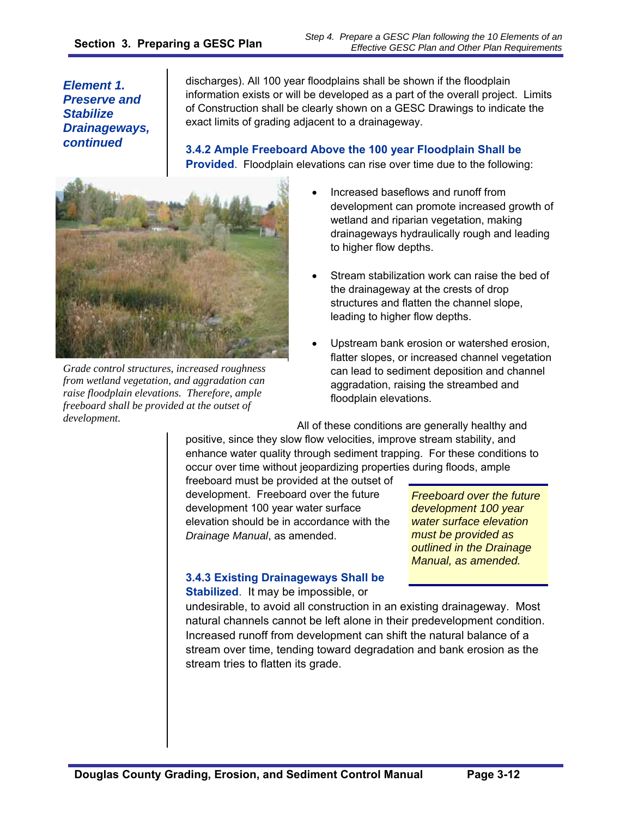discharges). All 100 year floodplains shall be shown if the floodplain information exists or will be developed as a part of the overall project. Limits of Construction shall be clearly shown on a GESC Drawings to indicate the exact limits of grading adjacent to a drainageway.

**3.4.2 Ample Freeboard Above the 100 year Floodplain Shall be Provided**. Floodplain elevations can rise over time due to the following:



*Grade control structures, increased roughness from wetland vegetation, and aggradation can raise floodplain elevations. Therefore, ample freeboard shall be provided at the outset of development.* 

- Increased baseflows and runoff from development can promote increased growth of wetland and riparian vegetation, making drainageways hydraulically rough and leading to higher flow depths.
- Stream stabilization work can raise the bed of the drainageway at the crests of drop structures and flatten the channel slope, leading to higher flow depths.
- Upstream bank erosion or watershed erosion, flatter slopes, or increased channel vegetation can lead to sediment deposition and channel aggradation, raising the streambed and floodplain elevations.

All of these conditions are generally healthy and positive, since they slow flow velocities, improve stream stability, and enhance water quality through sediment trapping. For these conditions to occur over time without jeopardizing properties during floods, ample

freeboard must be provided at the outset of development. Freeboard over the future development 100 year water surface elevation should be in accordance with the *Drainage Manual*, as amended.

*Freeboard over the future development 100 year water surface elevation must be provided as outlined in the Drainage Manual, as amended.* 

# **3.4.3 Existing Drainageways Shall be**

**Stabilized**. It may be impossible, or

undesirable, to avoid all construction in an existing drainageway. Most natural channels cannot be left alone in their predevelopment condition. Increased runoff from development can shift the natural balance of a stream over time, tending toward degradation and bank erosion as the stream tries to flatten its grade.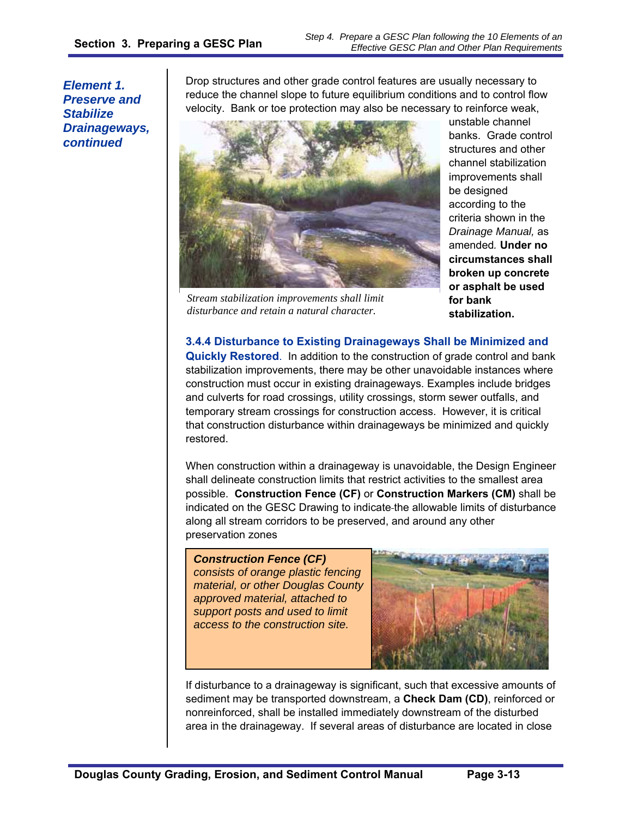Drop structures and other grade control features are usually necessary to reduce the channel slope to future equilibrium conditions and to control flow velocity. Bank or toe protection may also be necessary to reinforce weak,



*Stream stabilization improvements shall limit disturbance and retain a natural character.* 

unstable channel banks. Grade control structures and other channel stabilization improvements shall be designed according to the criteria shown in the *Drainage Manual,* as amended*.* **Under no circumstances shall broken up concrete or asphalt be used for bank stabilization.** 

**3.4.4 Disturbance to Existing Drainageways Shall be Minimized and Quickly Restored**. In addition to the construction of grade control and bank stabilization improvements, there may be other unavoidable instances where construction must occur in existing drainageways. Examples include bridges and culverts for road crossings, utility crossings, storm sewer outfalls, and temporary stream crossings for construction access. However, it is critical that construction disturbance within drainageways be minimized and quickly restored.

When construction within a drainageway is unavoidable, the Design Engineer shall delineate construction limits that restrict activities to the smallest area possible. **Construction Fence (CF)** or **Construction Markers (CM)** shall be indicated on the GESC Drawing to indicate the allowable limits of disturbance along all stream corridors to be preserved, and around any other preservation zones

*Construction Fence (CF) consists of orange plastic fencing material, or other Douglas County approved material, attached to support posts and used to limit access to the construction site.* 



If disturbance to a drainageway is significant, such that excessive amounts of sediment may be transported downstream, a **Check Dam (CD)**, reinforced or nonreinforced, shall be installed immediately downstream of the disturbed area in the drainageway. If several areas of disturbance are located in close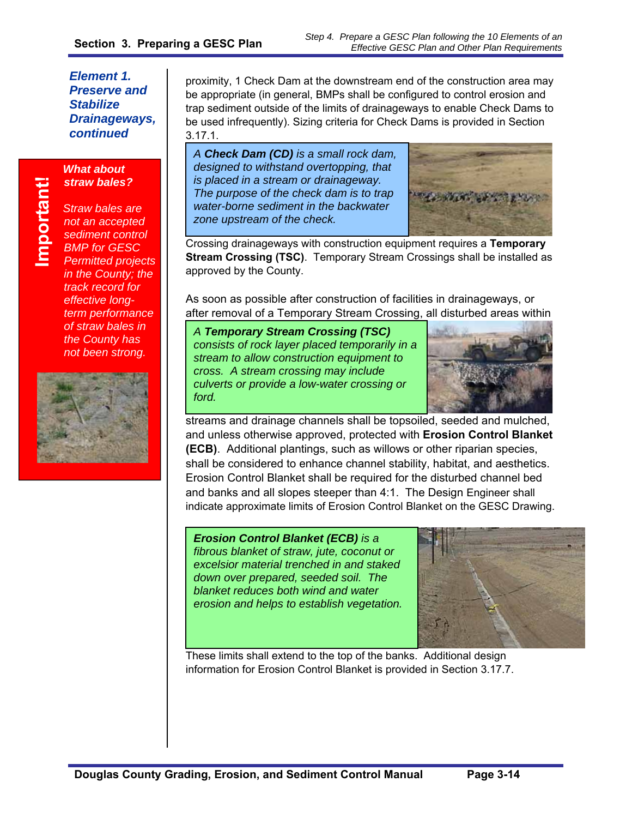# **Important!** Important!

*What about straw bales?* 

*Straw bales are not an accepted sediment control BMP for GESC Permitted projects in the County; the track record for effective longterm performance of straw bales in the County has not been strong.*



proximity, 1 Check Dam at the downstream end of the construction area may be appropriate (in general, BMPs shall be configured to control erosion and trap sediment outside of the limits of drainageways to enable Check Dams to be used infrequently). Sizing criteria for Check Dams is provided in Section 3.17.1.

*A Check Dam (CD) is a small rock dam, designed to withstand overtopping, that is placed in a stream or drainageway. The purpose of the check dam is to trap water-borne sediment in the backwater zone upstream of the check.* 



Crossing drainageways with construction equipment requires a **Temporary Stream Crossing (TSC)**. Temporary Stream Crossings shall be installed as approved by the County.

As soon as possible after construction of facilities in drainageways, or after removal of a Temporary Stream Crossing, all disturbed areas within

*A Temporary Stream Crossing (TSC) consists of rock layer placed temporarily in a stream to allow construction equipment to cross. A stream crossing may include culverts or provide a low-water crossing or ford.* 



streams and drainage channels shall be topsoiled, seeded and mulched, and unless otherwise approved, protected with **Erosion Control Blanket (ECB)**. Additional plantings, such as willows or other riparian species, shall be considered to enhance channel stability, habitat, and aesthetics. Erosion Control Blanket shall be required for the disturbed channel bed and banks and all slopes steeper than 4:1. The Design Engineer shall indicate approximate limits of Erosion Control Blanket on the GESC Drawing.

#### *Erosion Control Blanket (ECB) is a*

*fibrous blanket of straw, jute, coconut or excelsior material trenched in and staked down over prepared, seeded soil. The blanket reduces both wind and water erosion and helps to establish vegetation.* 



These limits shall extend to the top of the banks. Additional design information for Erosion Control Blanket is provided in Section 3.17.7.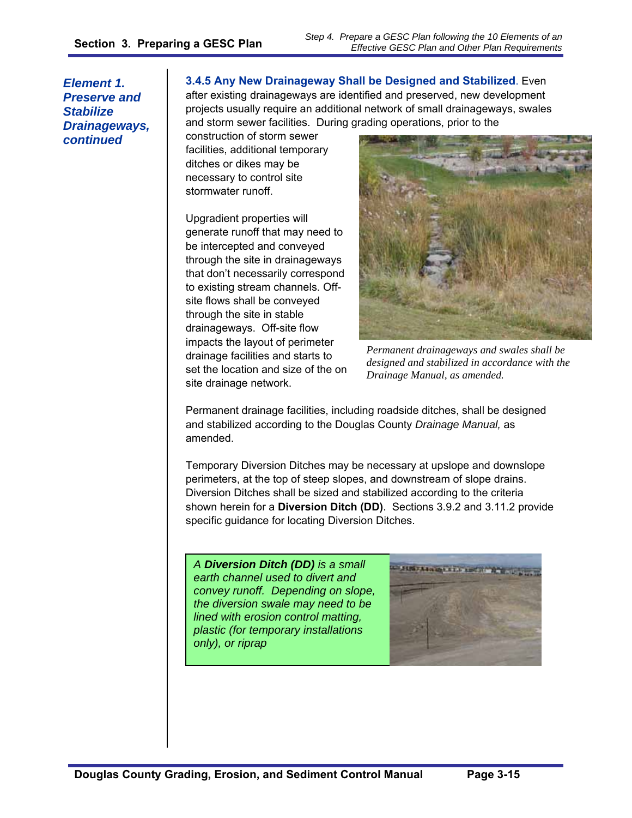#### **3.4.5 Any New Drainageway Shall be Designed and Stabilized**. Even after existing drainageways are identified and preserved, new development projects usually require an additional network of small drainageways, swales

and storm sewer facilities. During grading operations, prior to the

construction of storm sewer facilities, additional temporary ditches or dikes may be necessary to control site stormwater runoff.

Upgradient properties will generate runoff that may need to be intercepted and conveyed through the site in drainageways that don't necessarily correspond to existing stream channels. Offsite flows shall be conveyed through the site in stable drainageways. Off-site flow impacts the layout of perimeter drainage facilities and starts to set the location and size of the on site drainage network.



*Permanent drainageways and swales shall be designed and stabilized in accordance with the Drainage Manual, as amended.* 

Permanent drainage facilities, including roadside ditches, shall be designed and stabilized according to the Douglas County *Drainage Manual,* as amended.

Temporary Diversion Ditches may be necessary at upslope and downslope perimeters, at the top of steep slopes, and downstream of slope drains. Diversion Ditches shall be sized and stabilized according to the criteria shown herein for a **Diversion Ditch (DD)**. Sections 3.9.2 and 3.11.2 provide specific guidance for locating Diversion Ditches.

*A Diversion Ditch (DD) is a small earth channel used to divert and convey runoff. Depending on slope, the diversion swale may need to be lined with erosion control matting, plastic (for temporary installations only), or riprap* 

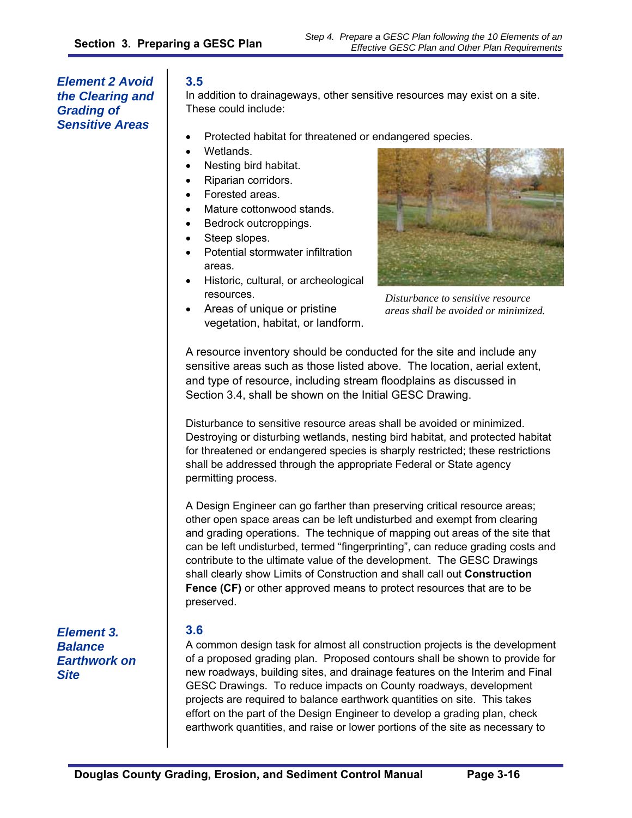*Sensitive Areas* 

In addition to drainageways, other sensitive resources may exist on a site. These could include:

- Protected habitat for threatened or endangered species.
- Wetlands.
- Nesting bird habitat.
- Riparian corridors.
- Forested areas.
- Mature cottonwood stands.
- Bedrock outcroppings.
- Steep slopes.
- Potential stormwater infiltration areas.
- Historic, cultural, or archeological resources.
- Areas of unique or pristine vegetation, habitat, or landform.



*Step 4. Prepare a GESC Plan following the 10 Elements of an* 

*Effective GESC Plan and Other Plan Requirements*

*Disturbance to sensitive resource areas shall be avoided or minimized.* 

A resource inventory should be conducted for the site and include any sensitive areas such as those listed above. The location, aerial extent, and type of resource, including stream floodplains as discussed in Section 3.4, shall be shown on the Initial GESC Drawing.

Disturbance to sensitive resource areas shall be avoided or minimized. Destroying or disturbing wetlands, nesting bird habitat, and protected habitat for threatened or endangered species is sharply restricted; these restrictions shall be addressed through the appropriate Federal or State agency permitting process.

A Design Engineer can go farther than preserving critical resource areas; other open space areas can be left undisturbed and exempt from clearing and grading operations. The technique of mapping out areas of the site that can be left undisturbed, termed "fingerprinting", can reduce grading costs and contribute to the ultimate value of the development. The GESC Drawings shall clearly show Limits of Construction and shall call out **Construction Fence (CF)** or other approved means to protect resources that are to be preserved.

*Element 3. Balance Earthwork on Site* 

#### **3.6**

A common design task for almost all construction projects is the development of a proposed grading plan. Proposed contours shall be shown to provide for new roadways, building sites, and drainage features on the Interim and Final GESC Drawings. To reduce impacts on County roadways, development projects are required to balance earthwork quantities on site. This takes effort on the part of the Design Engineer to develop a grading plan, check earthwork quantities, and raise or lower portions of the site as necessary to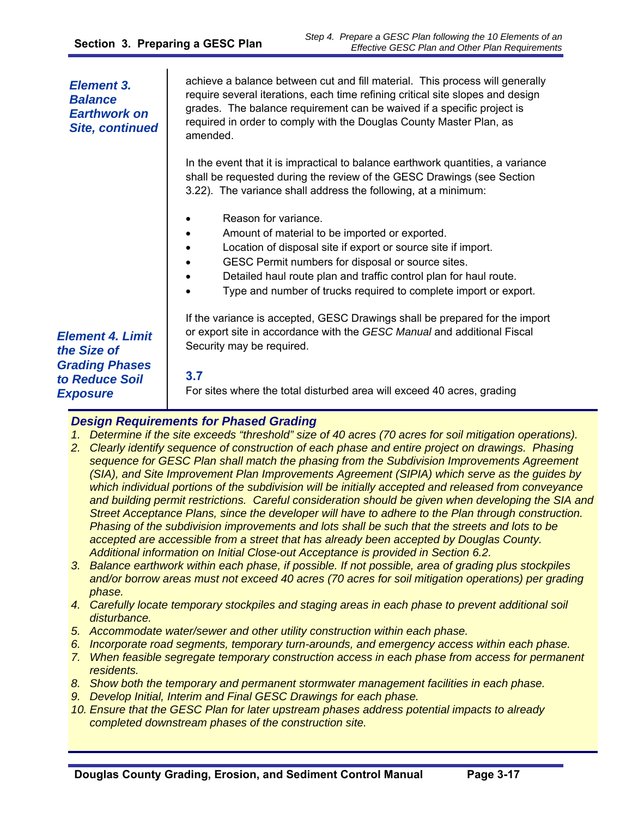#### achieve a balance between cut and fill material. This process will generally require several iterations, each time refining critical site slopes and design grades. The balance requirement can be waived if a specific project is required in order to comply with the Douglas County Master Plan, as amended. In the event that it is impractical to balance earthwork quantities, a variance shall be requested during the review of the GESC Drawings (see Section 3.22). The variance shall address the following, at a minimum: Reason for variance. Amount of material to be imported or exported. Location of disposal site if export or source site if import. GESC Permit numbers for disposal or source sites. Detailed haul route plan and traffic control plan for haul route. Type and number of trucks required to complete import or export. If the variance is accepted, GESC Drawings shall be prepared for the import or export site in accordance with the *GESC Manual* and additional Fiscal Security may be required. **3.7** For sites where the total disturbed area will exceed 40 acres, grading *Element 3. Balance Earthwork on Site, continued Element 4. Limit the Size of Grading Phases to Reduce Soil Exposure*

#### *Design Requirements for Phased Grading*

- *1. Determine if the site exceeds "threshold" size of 40 acres (70 acres for soil mitigation operations).*
- *2. Clearly identify sequence of construction of each phase and entire project on drawings. Phasing sequence for GESC Plan shall match the phasing from the Subdivision Improvements Agreement (SIA), and Site Improvement Plan Improvements Agreement (SIPIA) which serve as the guides by which individual portions of the subdivision will be initially accepted and released from conveyance and building permit restrictions. Careful consideration should be given when developing the SIA and Street Acceptance Plans, since the developer will have to adhere to the Plan through construction. Phasing of the subdivision improvements and lots shall be such that the streets and lots to be accepted are accessible from a street that has already been accepted by Douglas County. Additional information on Initial Close-out Acceptance is provided in Section 6.2.*
- *3. Balance earthwork within each phase, if possible. If not possible, area of grading plus stockpiles and/or borrow areas must not exceed 40 acres (70 acres for soil mitigation operations) per grading phase.*
- *4. Carefully locate temporary stockpiles and staging areas in each phase to prevent additional soil disturbance.*
- *5. Accommodate water/sewer and other utility construction within each phase.*
- *6. Incorporate road segments, temporary turn-arounds, and emergency access within each phase.*
- *7. When feasible segregate temporary construction access in each phase from access for permanent residents.*
- *8. Show both the temporary and permanent stormwater management facilities in each phase.*
- *9. Develop Initial, Interim and Final GESC Drawings for each phase.*
- *10. Ensure that the GESC Plan for later upstream phases address potential impacts to already completed downstream phases of the construction site.*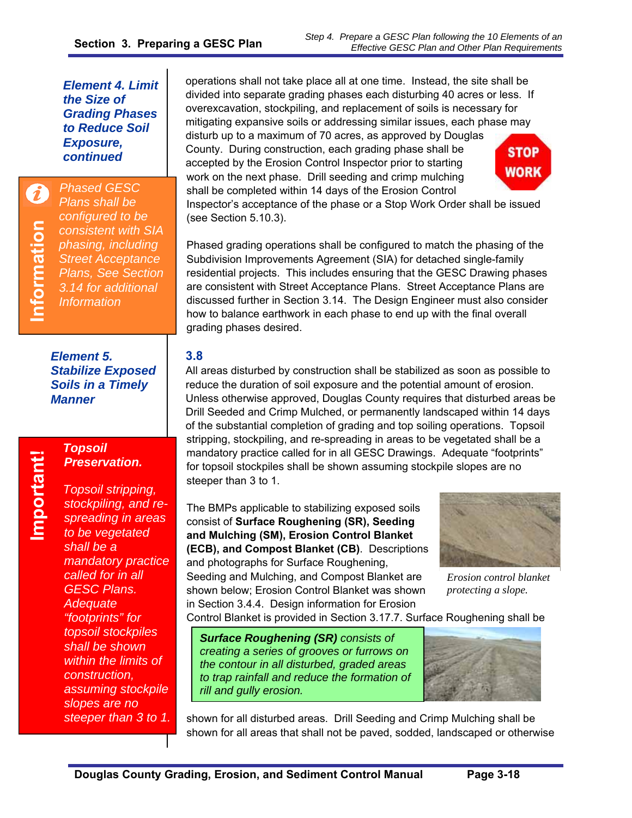#### *Element 4. Limit the Size of Grading Phases to Reduce Soil Exposure, continued*

*Phased GESC Plans shall be configured to be consistent with SIA phasing, including Street Acceptance Plans, See Section 3.14 for additional Information* 

*Element 5. Stabilize Exposed Soils in a Timely Manner* 

# *Topsoil Preservation.*

**Important!** 

Important!

*Topsoil stripping, stockpiling, and respreading in areas to be vegetated shall be a mandatory practice called for in all GESC Plans. Adequate "footprints" for topsoil stockpiles shall be shown within the limits of construction, assuming stockpile slopes are no steeper than 3 to 1.*  operations shall not take place all at one time. Instead, the site shall be divided into separate grading phases each disturbing 40 acres or less. If overexcavation, stockpiling, and replacement of soils is necessary for mitigating expansive soils or addressing similar issues, each phase may disturb up to a maximum of 70 acres, as approved by Douglas County. During construction, each grading phase shall be accepted by the Erosion Control Inspector prior to starting work on the next phase. Drill seeding and crimp mulching



Inspector's acceptance of the phase or a Stop Work Order shall be issued (see Section 5.10.3).

shall be completed within 14 days of the Erosion Control

Phased grading operations shall be configured to match the phasing of the Subdivision Improvements Agreement (SIA) for detached single-family residential projects. This includes ensuring that the GESC Drawing phases are consistent with Street Acceptance Plans. Street Acceptance Plans are discussed further in Section 3.14. The Design Engineer must also consider how to balance earthwork in each phase to end up with the final overall grading phases desired.

# **3.8**

All areas disturbed by construction shall be stabilized as soon as possible to reduce the duration of soil exposure and the potential amount of erosion. Unless otherwise approved, Douglas County requires that disturbed areas be Drill Seeded and Crimp Mulched, or permanently landscaped within 14 days of the substantial completion of grading and top soiling operations. Topsoil stripping, stockpiling, and re-spreading in areas to be vegetated shall be a mandatory practice called for in all GESC Drawings. Adequate "footprints" for topsoil stockpiles shall be shown assuming stockpile slopes are no steeper than 3 to 1.

The BMPs applicable to stabilizing exposed soils consist of **Surface Roughening (SR), Seeding and Mulching (SM), Erosion Control Blanket (ECB), and Compost Blanket (CB)**. Descriptions and photographs for Surface Roughening, Seeding and Mulching, and Compost Blanket are shown below; Erosion Control Blanket was shown in Section 3.4.4. Design information for Erosion



*Erosion control blanket protecting a slope.* 

Control Blanket is provided in Section 3.17.7. Surface Roughening shall be

*Surface Roughening (SR) consists of creating a series of grooves or furrows on the contour in all disturbed, graded areas to trap rainfall and reduce the formation of rill and gully erosion.* 



shown for all disturbed areas. Drill Seeding and Crimp Mulching shall be shown for all areas that shall not be paved, sodded, landscaped or otherwise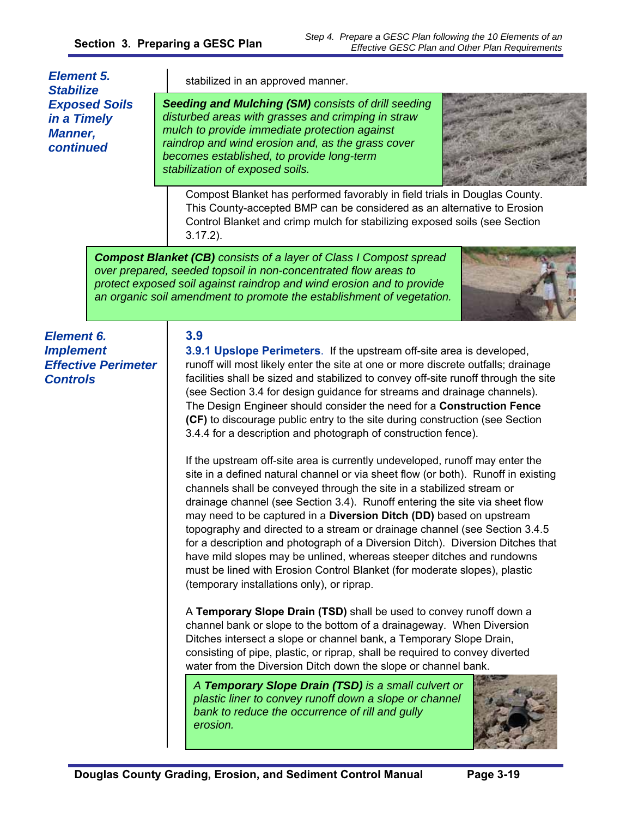| <b>Element 5.</b><br><b>Stabilize</b>                                                  | stabilized in an approved manner.                                                                                                                                                                                                                                                                                                                                                                                                                                                                                                                                                                                                                                                                                                                                                                                                                                                                                                                                                                                                                                                                                                                                                                                                                                                                                                                                                                                                                                                                                                                                                                                                                                                                                                                                                                                                                                                                |
|----------------------------------------------------------------------------------------|--------------------------------------------------------------------------------------------------------------------------------------------------------------------------------------------------------------------------------------------------------------------------------------------------------------------------------------------------------------------------------------------------------------------------------------------------------------------------------------------------------------------------------------------------------------------------------------------------------------------------------------------------------------------------------------------------------------------------------------------------------------------------------------------------------------------------------------------------------------------------------------------------------------------------------------------------------------------------------------------------------------------------------------------------------------------------------------------------------------------------------------------------------------------------------------------------------------------------------------------------------------------------------------------------------------------------------------------------------------------------------------------------------------------------------------------------------------------------------------------------------------------------------------------------------------------------------------------------------------------------------------------------------------------------------------------------------------------------------------------------------------------------------------------------------------------------------------------------------------------------------------------------|
| <b>Exposed Soils</b><br>in a Timely<br><b>Manner,</b><br>continued                     | Seeding and Mulching (SM) consists of drill seeding<br>disturbed areas with grasses and crimping in straw<br>mulch to provide immediate protection against<br>raindrop and wind erosion and, as the grass cover<br>becomes established, to provide long-term<br>stabilization of exposed soils.                                                                                                                                                                                                                                                                                                                                                                                                                                                                                                                                                                                                                                                                                                                                                                                                                                                                                                                                                                                                                                                                                                                                                                                                                                                                                                                                                                                                                                                                                                                                                                                                  |
|                                                                                        | Compost Blanket has performed favorably in field trials in Douglas County.<br>This County-accepted BMP can be considered as an alternative to Erosion<br>Control Blanket and crimp mulch for stabilizing exposed soils (see Section<br>$3.17.2$ ).                                                                                                                                                                                                                                                                                                                                                                                                                                                                                                                                                                                                                                                                                                                                                                                                                                                                                                                                                                                                                                                                                                                                                                                                                                                                                                                                                                                                                                                                                                                                                                                                                                               |
|                                                                                        | <b>Compost Blanket (CB)</b> consists of a layer of Class I Compost spread<br>over prepared, seeded topsoil in non-concentrated flow areas to<br>protect exposed soil against raindrop and wind erosion and to provide<br>an organic soil amendment to promote the establishment of vegetation.                                                                                                                                                                                                                                                                                                                                                                                                                                                                                                                                                                                                                                                                                                                                                                                                                                                                                                                                                                                                                                                                                                                                                                                                                                                                                                                                                                                                                                                                                                                                                                                                   |
| <b>Element 6.</b><br><b>Implement</b><br><b>Effective Perimeter</b><br><b>Controls</b> | 3.9<br>3.9.1 Upslope Perimeters. If the upstream off-site area is developed,<br>runoff will most likely enter the site at one or more discrete outfalls; drainage<br>facilities shall be sized and stabilized to convey off-site runoff through the site<br>(see Section 3.4 for design guidance for streams and drainage channels).<br>The Design Engineer should consider the need for a Construction Fence<br>(CF) to discourage public entry to the site during construction (see Section<br>3.4.4 for a description and photograph of construction fence).<br>If the upstream off-site area is currently undeveloped, runoff may enter the<br>site in a defined natural channel or via sheet flow (or both). Runoff in existing<br>channels shall be conveyed through the site in a stabilized stream or<br>drainage channel (see Section 3.4). Runoff entering the site via sheet flow<br>may need to be captured in a Diversion Ditch (DD) based on upstream<br>topography and directed to a stream or drainage channel (see Section 3.4.5)<br>for a description and photograph of a Diversion Ditch). Diversion Ditches that<br>have mild slopes may be unlined, whereas steeper ditches and rundowns<br>must be lined with Erosion Control Blanket (for moderate slopes), plastic<br>(temporary installations only), or riprap.<br>A Temporary Slope Drain (TSD) shall be used to convey runoff down a<br>channel bank or slope to the bottom of a drainageway. When Diversion<br>Ditches intersect a slope or channel bank, a Temporary Slope Drain,<br>consisting of pipe, plastic, or riprap, shall be required to convey diverted<br>water from the Diversion Ditch down the slope or channel bank.<br>A Temporary Slope Drain (TSD) is a small culvert or<br>plastic liner to convey runoff down a slope or channel<br>bank to reduce the occurrence of rill and gully<br>erosion. |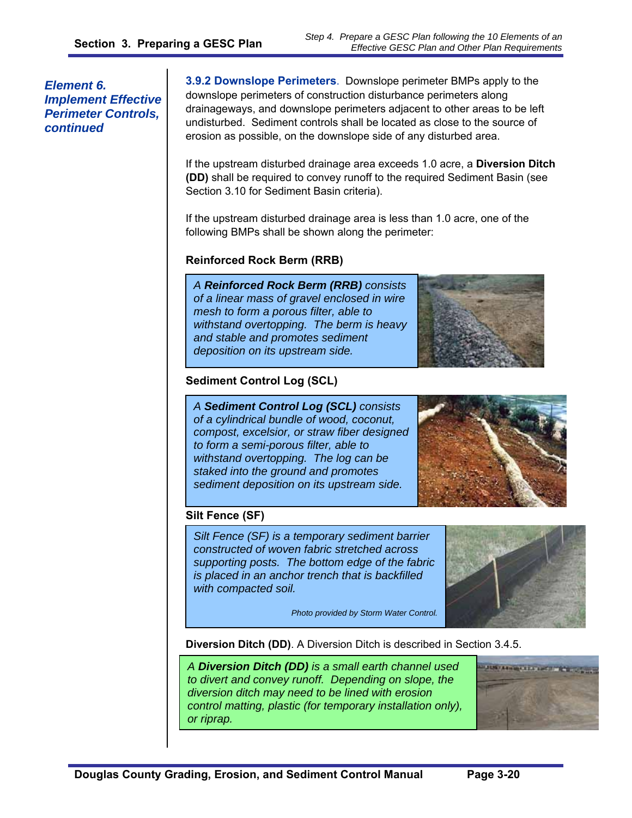#### *Element 6. Implement Effective Perimeter Controls, continued*

**3.9.2 Downslope Perimeters**. Downslope perimeter BMPs apply to the downslope perimeters of construction disturbance perimeters along drainageways, and downslope perimeters adjacent to other areas to be left undisturbed. Sediment controls shall be located as close to the source of erosion as possible, on the downslope side of any disturbed area.

If the upstream disturbed drainage area exceeds 1.0 acre, a **Diversion Ditch (DD)** shall be required to convey runoff to the required Sediment Basin (see Section 3.10 for Sediment Basin criteria).

If the upstream disturbed drainage area is less than 1.0 acre, one of the following BMPs shall be shown along the perimeter:

#### **Reinforced Rock Berm (RRB)**

*A Reinforced Rock Berm (RRB) consists of a linear mass of gravel enclosed in wire mesh to form a porous filter, able to withstand overtopping. The berm is heavy and stable and promotes sediment deposition on its upstream side.* 



#### **Sediment Control Log (SCL)**

*A Sediment Control Log (SCL) consists of a cylindrical bundle of wood, coconut, compost, excelsior, or straw fiber designed to form a semi-porous filter, able to withstand overtopping. The log can be staked into the ground and promotes sediment deposition on its upstream side.* 



# **Silt Fence (SF)**

*Silt Fence (SF) is a temporary sediment barrier constructed of woven fabric stretched across supporting posts. The bottom edge of the fabric is placed in an anchor trench that is backfilled with compacted soil.* 

*Photo provided by Storm Water Control.* 

**Diversion Ditch (DD)**. A Diversion Ditch is described in Section 3.4.5.

*A Diversion Ditch (DD) is a small earth channel used to divert and convey runoff. Depending on slope, the diversion ditch may need to be lined with erosion control matting, plastic (for temporary installation only), or riprap.* 

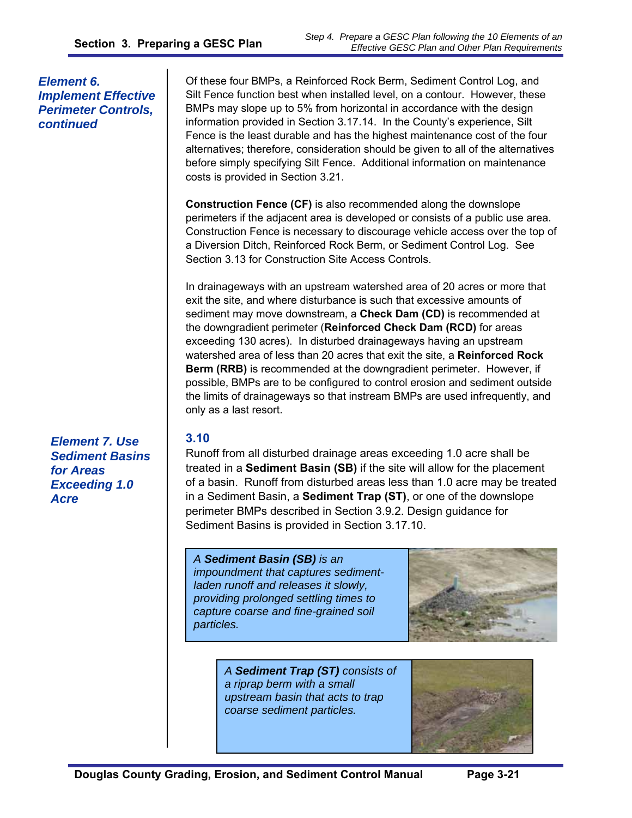*Element 6. Implement Effective Perimeter Controls, continued* 

> *Element 7. Use Sediment Basins*

*for Areas Exceeding 1.0* 

*Acre* 

Of these four BMPs, a Reinforced Rock Berm, Sediment Control Log, and Silt Fence function best when installed level, on a contour. However, these BMPs may slope up to 5% from horizontal in accordance with the design information provided in Section 3.17.14. In the County's experience, Silt Fence is the least durable and has the highest maintenance cost of the four alternatives; therefore, consideration should be given to all of the alternatives before simply specifying Silt Fence. Additional information on maintenance costs is provided in Section 3.21.

**Construction Fence (CF)** is also recommended along the downslope perimeters if the adjacent area is developed or consists of a public use area. Construction Fence is necessary to discourage vehicle access over the top of a Diversion Ditch, Reinforced Rock Berm, or Sediment Control Log. See Section 3.13 for Construction Site Access Controls.

In drainageways with an upstream watershed area of 20 acres or more that exit the site, and where disturbance is such that excessive amounts of sediment may move downstream, a **Check Dam (CD)** is recommended at the downgradient perimeter (**Reinforced Check Dam (RCD)** for areas exceeding 130 acres). In disturbed drainageways having an upstream watershed area of less than 20 acres that exit the site, a **Reinforced Rock Berm (RRB)** is recommended at the downgradient perimeter. However, if possible, BMPs are to be configured to control erosion and sediment outside the limits of drainageways so that instream BMPs are used infrequently, and only as a last resort.

# **3.10**

Runoff from all disturbed drainage areas exceeding 1.0 acre shall be treated in a **Sediment Basin (SB)** if the site will allow for the placement of a basin. Runoff from disturbed areas less than 1.0 acre may be treated in a Sediment Basin, a **Sediment Trap (ST)**, or one of the downslope perimeter BMPs described in Section 3.9.2. Design guidance for Sediment Basins is provided in Section 3.17.10.

*A Sediment Basin (SB) is an impoundment that captures sedimentladen runoff and releases it slowly, providing prolonged settling times to capture coarse and fine-grained soil particles.* 



*A Sediment Trap (ST) consists of a riprap berm with a small upstream basin that acts to trap coarse sediment particles.* 

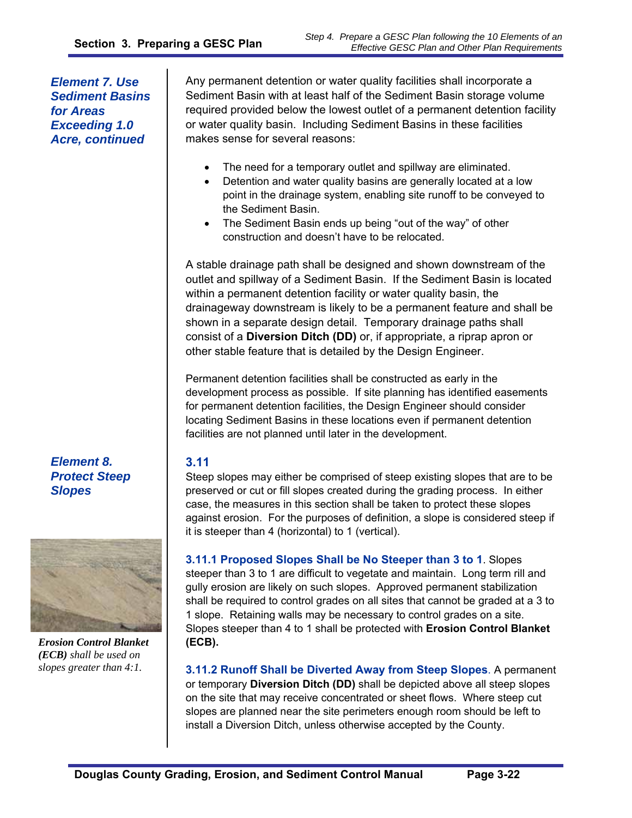*Element 7. Use Sediment Basins for Areas Exceeding 1.0 Acre, continued* 

Any permanent detention or water quality facilities shall incorporate a Sediment Basin with at least half of the Sediment Basin storage volume required provided below the lowest outlet of a permanent detention facility or water quality basin. Including Sediment Basins in these facilities makes sense for several reasons:

- The need for a temporary outlet and spillway are eliminated.
- Detention and water quality basins are generally located at a low point in the drainage system, enabling site runoff to be conveyed to the Sediment Basin.
- The Sediment Basin ends up being "out of the way" of other construction and doesn't have to be relocated.

A stable drainage path shall be designed and shown downstream of the outlet and spillway of a Sediment Basin. If the Sediment Basin is located within a permanent detention facility or water quality basin, the drainageway downstream is likely to be a permanent feature and shall be shown in a separate design detail. Temporary drainage paths shall consist of a **Diversion Ditch (DD)** or, if appropriate, a riprap apron or other stable feature that is detailed by the Design Engineer.

Permanent detention facilities shall be constructed as early in the development process as possible. If site planning has identified easements for permanent detention facilities, the Design Engineer should consider locating Sediment Basins in these locations even if permanent detention facilities are not planned until later in the development.

#### **3.11**

Steep slopes may either be comprised of steep existing slopes that are to be preserved or cut or fill slopes created during the grading process. In either case, the measures in this section shall be taken to protect these slopes against erosion. For the purposes of definition, a slope is considered steep if it is steeper than 4 (horizontal) to 1 (vertical).

**3.11.1 Proposed Slopes Shall be No Steeper than 3 to 1**. Slopes steeper than 3 to 1 are difficult to vegetate and maintain. Long term rill and gully erosion are likely on such slopes. Approved permanent stabilization shall be required to control grades on all sites that cannot be graded at a 3 to 1 slope. Retaining walls may be necessary to control grades on a site. Slopes steeper than 4 to 1 shall be protected with **Erosion Control Blanket (ECB).**

**3.11.2 Runoff Shall be Diverted Away from Steep Slopes**. A permanent or temporary **Diversion Ditch (DD)** shall be depicted above all steep slopes on the site that may receive concentrated or sheet flows. Where steep cut slopes are planned near the site perimeters enough room should be left to install a Diversion Ditch, unless otherwise accepted by the County.

*Element 8. Protect Steep Slopes* 



*Erosion Control Blanket (ECB) shall be used on slopes greater than 4:1.*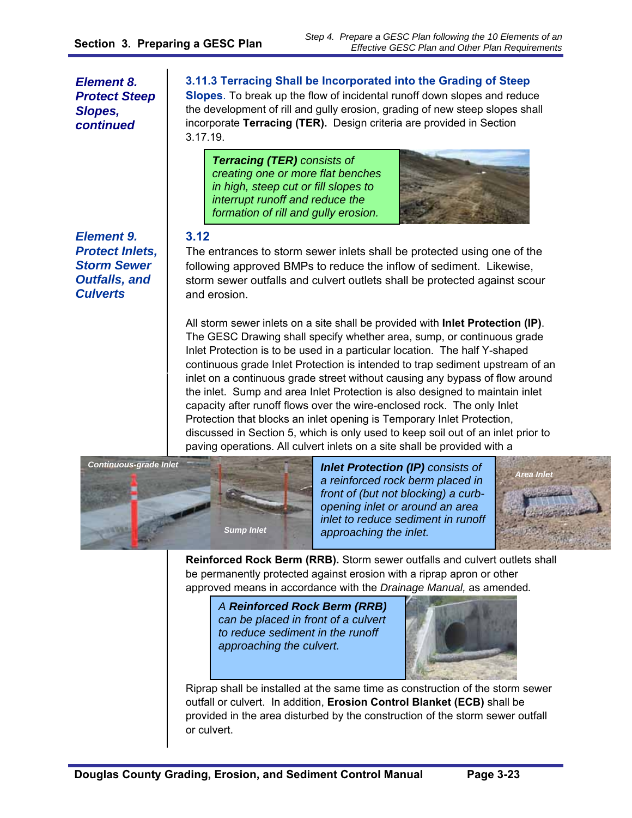*Element 8. Protect Steep Slopes, continued* 

*Element 9. Protect Inlets, Storm Sewer Outfalls, and Culverts* 

*Continuous Grade Inlet* 

# **3.11.3 Terracing Shall be Incorporated into the Grading of Steep**

**Slopes**. To break up the flow of incidental runoff down slopes and reduce the development of rill and gully erosion, grading of new steep slopes shall incorporate **Terracing (TER).** Design criteria are provided in Section 3.17.19.

*Terracing (TER) consists of creating one or more flat benches in high, steep cut or fill slopes to interrupt runoff and reduce the formation of rill and gully erosion.* 



#### **3.12**

The entrances to storm sewer inlets shall be protected using one of the following approved BMPs to reduce the inflow of sediment. Likewise, storm sewer outfalls and culvert outlets shall be protected against scour and erosion.

All storm sewer inlets on a site shall be provided with **Inlet Protection (IP)**. The GESC Drawing shall specify whether area, sump, or continuous grade Inlet Protection is to be used in a particular location. The half Y-shaped continuous grade Inlet Protection is intended to trap sediment upstream of an inlet on a continuous grade street without causing any bypass of flow around the inlet. Sump and area Inlet Protection is also designed to maintain inlet capacity after runoff flows over the wire-enclosed rock. The only Inlet Protection that blocks an inlet opening is Temporary Inlet Protection, discussed in Section 5, which is only used to keep soil out of an inlet prior to paving operations. All culvert inlets on a site shall be provided with a



*Inlet Protection (IP) consists of a reinforced rock berm placed in front of (but not blocking) a curbopening inlet or around an area inlet to reduce sediment in runoff approaching the inlet.* 



**Reinforced Rock Berm (RRB).** Storm sewer outfalls and culvert outlets shall be permanently protected against erosion with a riprap apron or other approved means in accordance with the *Drainage Manual,* as amended*.* 

*A Reinforced Rock Berm (RRB) can be placed in front of a culvert to reduce sediment in the runoff approaching the culvert.* 



Riprap shall be installed at the same time as construction of the storm sewer outfall or culvert. In addition, **Erosion Control Blanket (ECB)** shall be provided in the area disturbed by the construction of the storm sewer outfall or culvert.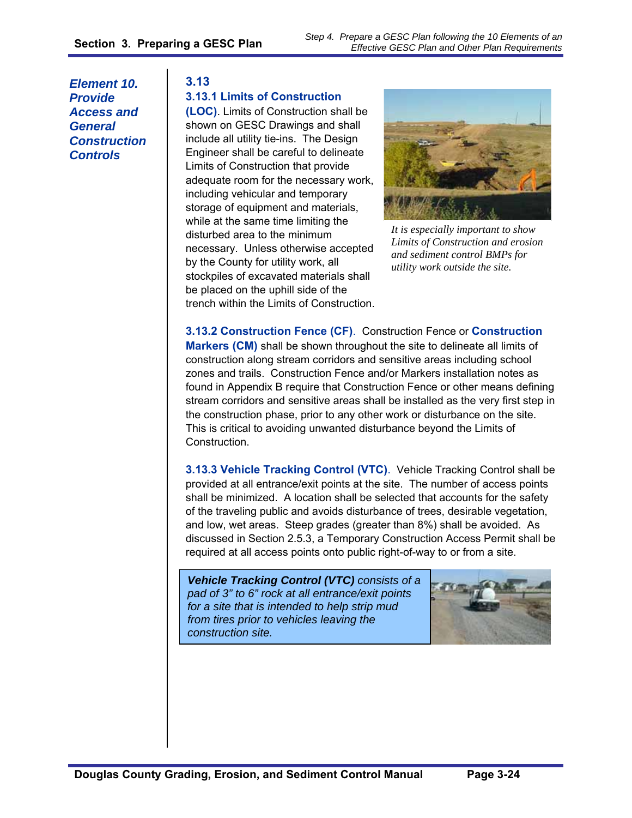*Element 10. Provide Access and General Construction Controls* 

#### **3.13**

#### **3.13.1 Limits of Construction**

**(LOC)**. Limits of Construction shall be shown on GESC Drawings and shall include all utility tie-ins. The Design Engineer shall be careful to delineate Limits of Construction that provide adequate room for the necessary work, including vehicular and temporary storage of equipment and materials, while at the same time limiting the disturbed area to the minimum necessary. Unless otherwise accepted by the County for utility work, all stockpiles of excavated materials shall be placed on the uphill side of the trench within the Limits of Construction.



*It is especially important to show Limits of Construction and erosion and sediment control BMPs for utility work outside the site.* 

**3.13.2 Construction Fence (CF)**. Construction Fence or **Construction Markers (CM)** shall be shown throughout the site to delineate all limits of construction along stream corridors and sensitive areas including school zones and trails. Construction Fence and/or Markers installation notes as found in Appendix B require that Construction Fence or other means defining stream corridors and sensitive areas shall be installed as the very first step in the construction phase, prior to any other work or disturbance on the site. This is critical to avoiding unwanted disturbance beyond the Limits of Construction.

**3.13.3 Vehicle Tracking Control (VTC)**. Vehicle Tracking Control shall be provided at all entrance/exit points at the site. The number of access points shall be minimized. A location shall be selected that accounts for the safety of the traveling public and avoids disturbance of trees, desirable vegetation, and low, wet areas. Steep grades (greater than 8%) shall be avoided. As discussed in Section 2.5.3, a Temporary Construction Access Permit shall be required at all access points onto public right-of-way to or from a site.

*Vehicle Tracking Control (VTC) consists of a pad of 3" to 6" rock at all entrance/exit points for a site that is intended to help strip mud from tires prior to vehicles leaving the construction site.* 

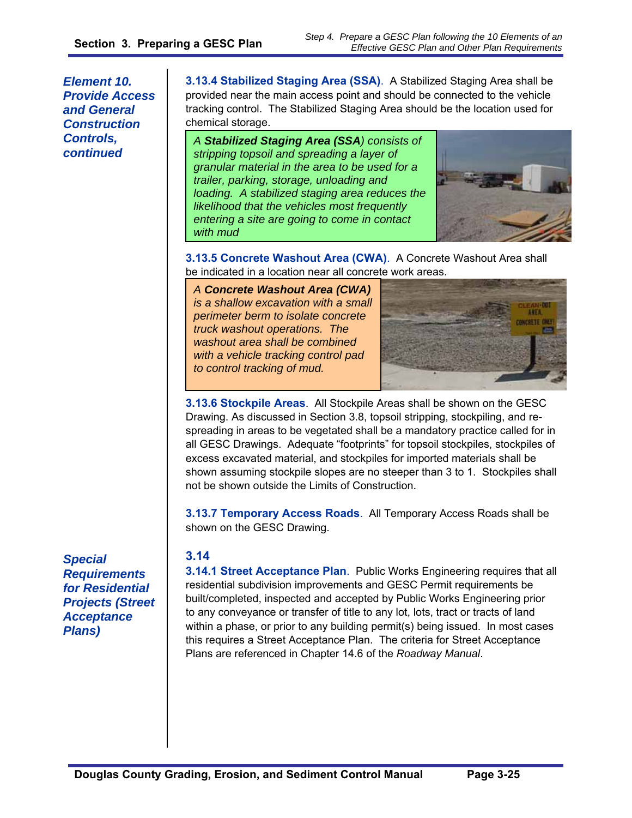*Element 10. Provide Access and General Construction Controls, continued* 

0B**3.13.4 Stabilized Staging Area (SSA)**.A Stabilized Staging Area shall be provided near the main access point and should be connected to the vehicle tracking control. The Stabilized Staging Area should be the location used for chemical storage.

*A Stabilized Staging Area (SSA) consists of stripping topsoil and spreading a layer of granular material in the area to be used for a trailer, parking, storage, unloading and loading. A stabilized staging area reduces the likelihood that the vehicles most frequently entering a site are going to come in contact with mud* 



**3.13.5 Concrete Washout Area (CWA)**.A Concrete Washout Area shall be indicated in a location near all concrete work areas.

*A Concrete Washout Area (CWA) is a shallow excavation with a small perimeter berm to isolate concrete truck washout operations. The washout area shall be combined with a vehicle tracking control pad to control tracking of mud.* 



**3.13.6 Stockpile Areas**. All Stockpile Areas shall be shown on the GESC Drawing. As discussed in Section 3.8, topsoil stripping, stockpiling, and respreading in areas to be vegetated shall be a mandatory practice called for in all GESC Drawings. Adequate "footprints" for topsoil stockpiles, stockpiles of excess excavated material, and stockpiles for imported materials shall be shown assuming stockpile slopes are no steeper than 3 to 1. Stockpiles shall not be shown outside the Limits of Construction.

**3.13.7 Temporary Access Roads**. All Temporary Access Roads shall be shown on the GESC Drawing.

#### **3.14**

**3.14.1 Street Acceptance Plan**. Public Works Engineering requires that all residential subdivision improvements and GESC Permit requirements be built/completed, inspected and accepted by Public Works Engineering prior to any conveyance or transfer of title to any lot, lots, tract or tracts of land within a phase, or prior to any building permit(s) being issued. In most cases this requires a Street Acceptance Plan. The criteria for Street Acceptance Plans are referenced in Chapter 14.6 of the *Roadway Manual*.

*Special Requirements for Residential Projects (Street Acceptance Plans)*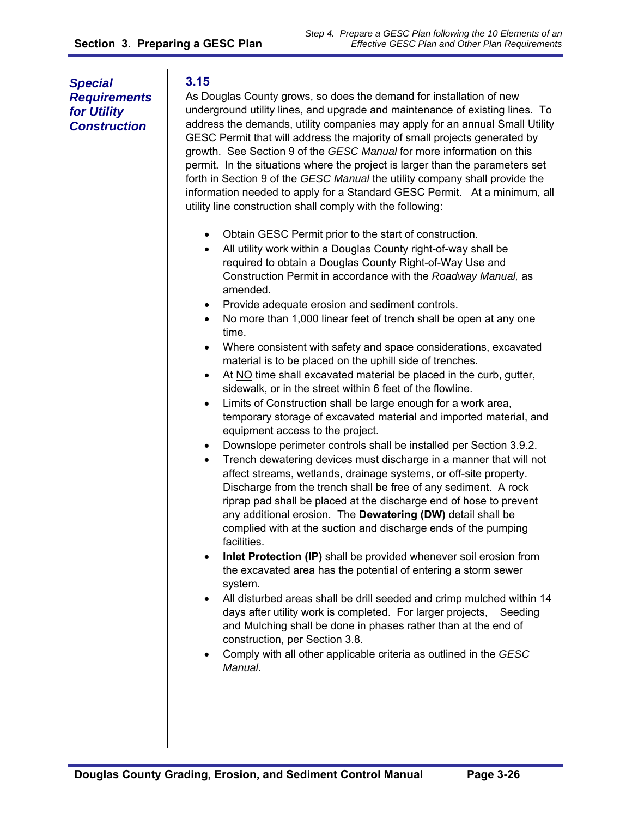*Special Requirements for Utility Construction* 

# **3.15**

As Douglas County grows, so does the demand for installation of new underground utility lines, and upgrade and maintenance of existing lines. To address the demands, utility companies may apply for an annual Small Utility GESC Permit that will address the majority of small projects generated by growth. See Section 9 of the *GESC Manual* for more information on this permit. In the situations where the project is larger than the parameters set forth in Section 9 of the *GESC Manual* the utility company shall provide the information needed to apply for a Standard GESC Permit. At a minimum, all utility line construction shall comply with the following:

- Obtain GESC Permit prior to the start of construction.
- All utility work within a Douglas County right-of-way shall be required to obtain a Douglas County Right-of-Way Use and Construction Permit in accordance with the *Roadway Manual,* as amended.
- Provide adequate erosion and sediment controls.
- No more than 1,000 linear feet of trench shall be open at any one time.
- Where consistent with safety and space considerations, excavated material is to be placed on the uphill side of trenches.
- $\bullet$  At NO time shall excavated material be placed in the curb, gutter, sidewalk, or in the street within 6 feet of the flowline.
- Limits of Construction shall be large enough for a work area, temporary storage of excavated material and imported material, and equipment access to the project.
- Downslope perimeter controls shall be installed per Section 3.9.2.
- Trench dewatering devices must discharge in a manner that will not affect streams, wetlands, drainage systems, or off-site property. Discharge from the trench shall be free of any sediment. A rock riprap pad shall be placed at the discharge end of hose to prevent any additional erosion. The **Dewatering (DW)** detail shall be complied with at the suction and discharge ends of the pumping facilities.
- **Inlet Protection (IP)** shall be provided whenever soil erosion from the excavated area has the potential of entering a storm sewer system.
- All disturbed areas shall be drill seeded and crimp mulched within 14 days after utility work is completed. For larger projects, Seeding and Mulching shall be done in phases rather than at the end of construction, per Section 3.8.
- Comply with all other applicable criteria as outlined in the *GESC Manual*.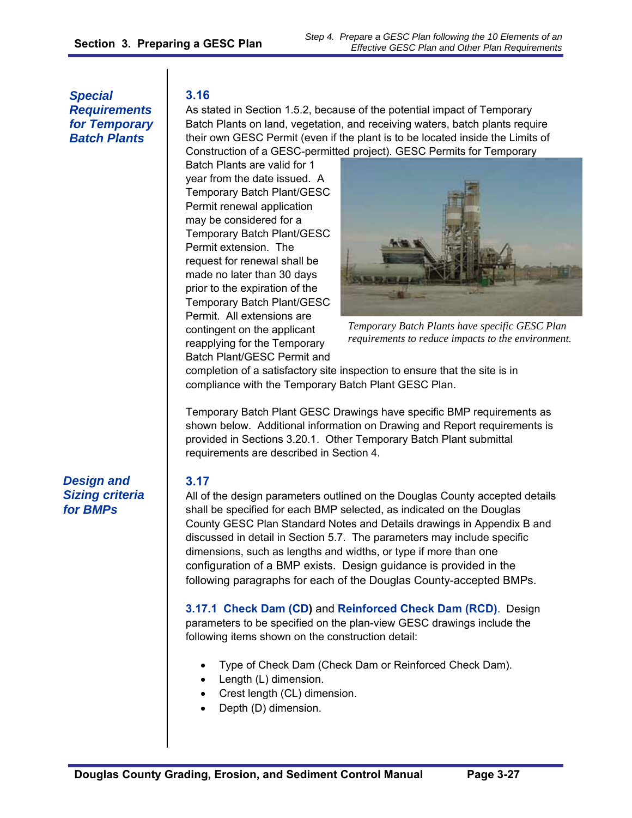*Special Requirements for Temporary Batch Plants* 

# **3.16**

As stated in Section 1.5.2, because of the potential impact of Temporary Batch Plants on land, vegetation, and receiving waters, batch plants require their own GESC Permit (even if the plant is to be located inside the Limits of Construction of a GESC-permitted project). GESC Permits for Temporary

Batch Plants are valid for 1 year from the date issued. A Temporary Batch Plant/GESC Permit renewal application may be considered for a Temporary Batch Plant/GESC Permit extension. The request for renewal shall be made no later than 30 days prior to the expiration of the Temporary Batch Plant/GESC Permit. All extensions are contingent on the applicant reapplying for the Temporary Batch Plant/GESC Permit and



*Temporary Batch Plants have specific GESC Plan requirements to reduce impacts to the environment.* 

completion of a satisfactory site inspection to ensure that the site is in compliance with the Temporary Batch Plant GESC Plan.

Temporary Batch Plant GESC Drawings have specific BMP requirements as shown below. Additional information on Drawing and Report requirements is provided in Sections 3.20.1. Other Temporary Batch Plant submittal requirements are described in Section 4.

*Design and Sizing criteria for BMPs* 

# **3.17**

All of the design parameters outlined on the Douglas County accepted details shall be specified for each BMP selected, as indicated on the Douglas County GESC Plan Standard Notes and Details drawings in Appendix B and discussed in detail in Section 5.7. The parameters may include specific dimensions, such as lengths and widths, or type if more than one configuration of a BMP exists. Design guidance is provided in the following paragraphs for each of the Douglas County-accepted BMPs.

**3.17.1 Check Dam (CD)** and **Reinforced Check Dam (RCD)**. Design parameters to be specified on the plan-view GESC drawings include the following items shown on the construction detail:

- Type of Check Dam (Check Dam or Reinforced Check Dam).
- Length (L) dimension.
- Crest length (CL) dimension.
- Depth (D) dimension.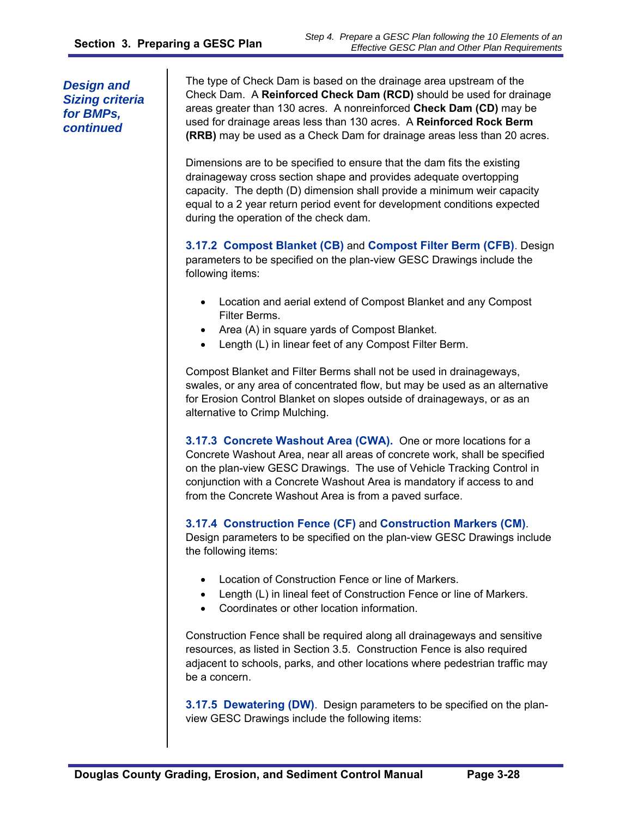The type of Check Dam is based on the drainage area upstream of the Check Dam. A **Reinforced Check Dam (RCD)** should be used for drainage areas greater than 130 acres. A nonreinforced **Check Dam (CD)** may be used for drainage areas less than 130 acres. A **Reinforced Rock Berm (RRB)** may be used as a Check Dam for drainage areas less than 20 acres.

Dimensions are to be specified to ensure that the dam fits the existing drainageway cross section shape and provides adequate overtopping capacity. The depth (D) dimension shall provide a minimum weir capacity equal to a 2 year return period event for development conditions expected during the operation of the check dam.

**3.17.2 Compost Blanket (CB)** and **Compost Filter Berm (CFB)**. Design parameters to be specified on the plan-view GESC Drawings include the following items:

- Location and aerial extend of Compost Blanket and any Compost Filter Berms.
- Area (A) in square yards of Compost Blanket.
- Length (L) in linear feet of any Compost Filter Berm.

Compost Blanket and Filter Berms shall not be used in drainageways, swales, or any area of concentrated flow, but may be used as an alternative for Erosion Control Blanket on slopes outside of drainageways, or as an alternative to Crimp Mulching.

**3.17.3 Concrete Washout Area (CWA).** One or more locations for a Concrete Washout Area, near all areas of concrete work, shall be specified on the plan-view GESC Drawings. The use of Vehicle Tracking Control in conjunction with a Concrete Washout Area is mandatory if access to and from the Concrete Washout Area is from a paved surface.

#### **3.17.4 Construction Fence (CF)** and **Construction Markers (CM)**.

Design parameters to be specified on the plan-view GESC Drawings include the following items:

- Location of Construction Fence or line of Markers.
- Length (L) in lineal feet of Construction Fence or line of Markers.
- Coordinates or other location information.

Construction Fence shall be required along all drainageways and sensitive resources, as listed in Section 3.5. Construction Fence is also required adjacent to schools, parks, and other locations where pedestrian traffic may be a concern.

**3.17.5 Dewatering (DW)**. Design parameters to be specified on the planview GESC Drawings include the following items: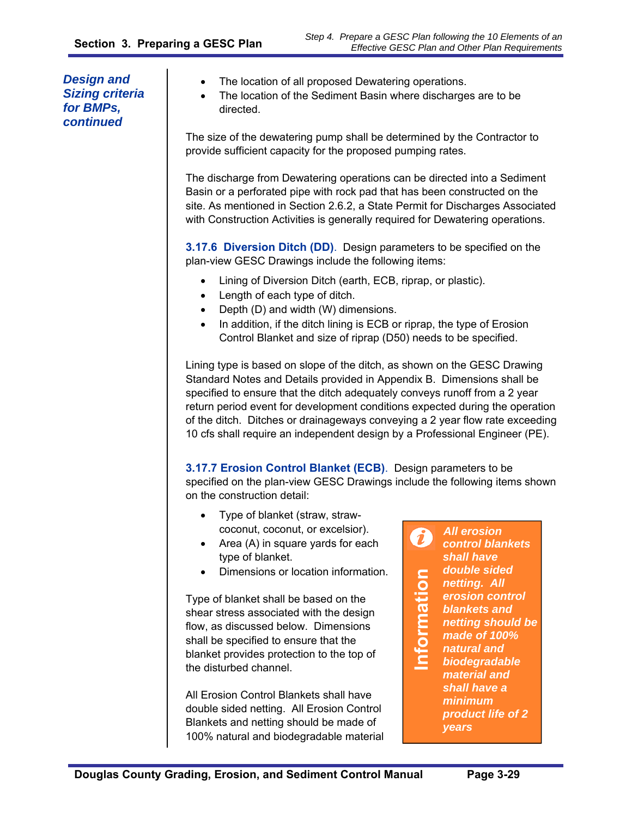- The location of all proposed Dewatering operations.
- The location of the Sediment Basin where discharges are to be directed.

The size of the dewatering pump shall be determined by the Contractor to provide sufficient capacity for the proposed pumping rates.

The discharge from Dewatering operations can be directed into a Sediment Basin or a perforated pipe with rock pad that has been constructed on the site. As mentioned in Section 2.6.2, a State Permit for Discharges Associated with Construction Activities is generally required for Dewatering operations.

**3.17.6 Diversion Ditch (DD)**. Design parameters to be specified on the plan-view GESC Drawings include the following items:

- Lining of Diversion Ditch (earth, ECB, riprap, or plastic).
- Length of each type of ditch.
- Depth (D) and width (W) dimensions.
- In addition, if the ditch lining is ECB or riprap, the type of Erosion Control Blanket and size of riprap (D50) needs to be specified.

Lining type is based on slope of the ditch, as shown on the GESC Drawing Standard Notes and Details provided in Appendix B. Dimensions shall be specified to ensure that the ditch adequately conveys runoff from a 2 year return period event for development conditions expected during the operation of the ditch. Ditches or drainageways conveying a 2 year flow rate exceeding 10 cfs shall require an independent design by a Professional Engineer (PE).

**3.17.7 Erosion Control Blanket (ECB)**. Design parameters to be specified on the plan-view GESC Drawings include the following items shown on the construction detail:

- Type of blanket (straw, strawcoconut, coconut, or excelsior).
- Area (A) in square yards for each type of blanket.
- Dimensions or location information.

Type of blanket shall be based on the shear stress associated with the design flow, as discussed below. Dimensions shall be specified to ensure that the blanket provides protection to the top of the disturbed channel.

All Erosion Control Blankets shall have double sided netting. All Erosion Control Blankets and netting should be made of 100% natural and biodegradable material

*All erosion*   $\boldsymbol{\hat{u}}$ *control blankets shall have*  **Information** *double sided*  nformation *netting. All erosion control blankets and netting should be made of 100% natural and biodegradable material and shall have a minimum product life of 2 years*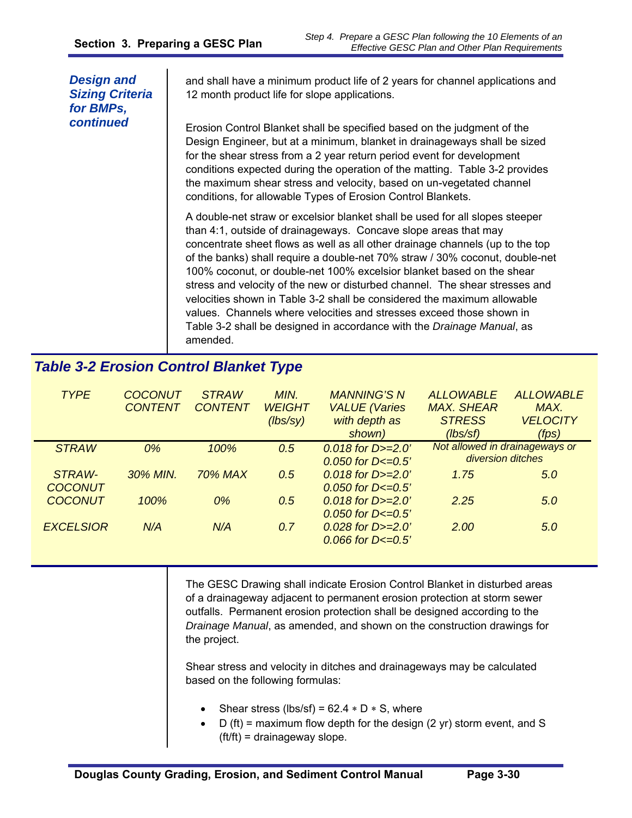| <b>Design and</b><br><b>Sizing Criteria</b><br>for BMPs, | and shall have a minimum product life of 2 years for channel applications and<br>12 month product life for slope applications.                                                                                                                                                                                                                                                                                                                                                                                                                                                                                                                                                                                    |  |  |
|----------------------------------------------------------|-------------------------------------------------------------------------------------------------------------------------------------------------------------------------------------------------------------------------------------------------------------------------------------------------------------------------------------------------------------------------------------------------------------------------------------------------------------------------------------------------------------------------------------------------------------------------------------------------------------------------------------------------------------------------------------------------------------------|--|--|
| continued                                                | Erosion Control Blanket shall be specified based on the judgment of the<br>Design Engineer, but at a minimum, blanket in drainageways shall be sized<br>for the shear stress from a 2 year return period event for development<br>conditions expected during the operation of the matting. Table 3-2 provides<br>the maximum shear stress and velocity, based on un-vegetated channel<br>conditions, for allowable Types of Erosion Control Blankets.                                                                                                                                                                                                                                                             |  |  |
|                                                          | A double-net straw or excelsior blanket shall be used for all slopes steeper<br>than 4:1, outside of drainageways. Concave slope areas that may<br>concentrate sheet flows as well as all other drainage channels (up to the top<br>of the banks) shall require a double-net 70% straw / 30% coconut, double-net<br>100% coconut, or double-net 100% excelsior blanket based on the shear<br>stress and velocity of the new or disturbed channel. The shear stresses and<br>velocities shown in Table 3-2 shall be considered the maximum allowable<br>values. Channels where velocities and stresses exceed those shown in<br>Table 3-2 shall be designed in accordance with the Drainage Manual, as<br>amended. |  |  |
| <b>Table 3-2 Erosion Control Blanket Type</b>            |                                                                                                                                                                                                                                                                                                                                                                                                                                                                                                                                                                                                                                                                                                                   |  |  |

#### *TYPE COCONUT CONTENT STRAW CONTENT MIN. WEIGHT (lbs/sy) MANNING'S N VALUE (Varies with depth as shown) ALLOWABLE MAX. SHEAR STRESS (lbs/sf) ALLOWABLE MAX. VELOCITY (fps) STRAW 0% 100% 0.5 0.018 for D>=2.0' 0.050 for D<=0.5' Not allowed in drainageways or STRAW-COCONUT 30% MIN. 70% MAX 0.5 0.018 for D>=2.0' 0.050 for D<=0.5' 1.75 5.0 COCONUT 100% 0% 0.5 0.018 for D>=2.0' 0.050 for D<=0.5' 2.25 5.0 EXCELSIOR N/A N/A 0.7 0.028 for D>=2.0' 0.066 for D<=0.5' 2.00 5.0 diversion ditches*

The GESC Drawing shall indicate Erosion Control Blanket in disturbed areas of a drainageway adjacent to permanent erosion protection at storm sewer outfalls. Permanent erosion protection shall be designed according to the *Drainage Manual*, as amended, and shown on the construction drawings for the project.

Shear stress and velocity in ditches and drainageways may be calculated based on the following formulas:

- Shear stress (lbs/sf) =  $62.4 * D * S$ , where
- D (ft) = maximum flow depth for the design (2 yr) storm event, and S (ft/ft) = drainageway slope.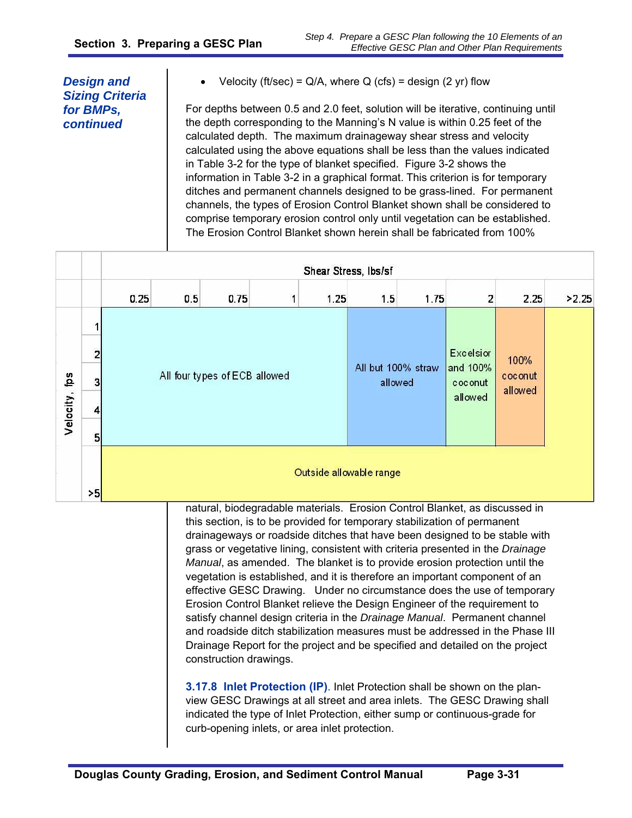Velocity (ft/sec) =  $Q/A$ , where  $Q$  (cfs) = design (2 yr) flow

For depths between 0.5 and 2.0 feet, solution will be iterative, continuing until the depth corresponding to the Manning's N value is within 0.25 feet of the calculated depth. The maximum drainageway shear stress and velocity calculated using the above equations shall be less than the values indicated in Table 3-2 for the type of blanket specified. Figure 3-2 shows the information in Table 3-2 in a graphical format. This criterion is for temporary ditches and permanent channels designed to be grass-lined. For permanent channels, the types of Erosion Control Blanket shown shall be considered to comprise temporary erosion control only until vegetation can be established. The Erosion Control Blanket shown herein shall be fabricated from 100%

|               |    | Shear Stress, Ibs/sf                                                                                                                                                                                                                 |                               |      |  |      |                  |                               |                                |                    |       |
|---------------|----|--------------------------------------------------------------------------------------------------------------------------------------------------------------------------------------------------------------------------------------|-------------------------------|------|--|------|------------------|-------------------------------|--------------------------------|--------------------|-------|
|               |    | 0.25                                                                                                                                                                                                                                 | 0.5                           | 0.75 |  | 1.25 | 1.5              | 1.75                          | 2                              | 2.25               | >2.25 |
|               |    |                                                                                                                                                                                                                                      |                               |      |  |      |                  |                               |                                |                    |       |
|               |    |                                                                                                                                                                                                                                      |                               |      |  |      | <b>Excelsior</b> |                               |                                | 100%               |       |
|               | 3  |                                                                                                                                                                                                                                      | All four types of ECB allowed |      |  |      |                  | All but 100% straw<br>allowed | and 100%<br>coconut<br>allowed | coconut<br>allowed |       |
| Velocity, fps |    |                                                                                                                                                                                                                                      |                               |      |  |      |                  |                               |                                |                    |       |
|               | 5  |                                                                                                                                                                                                                                      |                               |      |  |      |                  |                               |                                |                    |       |
|               | >5 | Outside allowable range                                                                                                                                                                                                              |                               |      |  |      |                  |                               |                                |                    |       |
|               |    | natural, biodegradable materials. Erosion Control Blanket, as discussed in<br>this section, is to be provided for temporary stabilization of permanent<br>drainageways or roadside ditches that have been designed to be stable with |                               |      |  |      |                  |                               |                                |                    |       |

grass or vegetative lining, consistent with criteria presented in the *Drainage Manual*, as amended. The blanket is to provide erosion protection until the vegetation is established, and it is therefore an important component of an effective GESC Drawing. Under no circumstance does the use of temporary Erosion Control Blanket relieve the Design Engineer of the requirement to satisfy channel design criteria in the *Drainage Manual*. Permanent channel and roadside ditch stabilization measures must be addressed in the Phase III Drainage Report for the project and be specified and detailed on the project construction drawings.

**3.17.8 Inlet Protection (IP)**. Inlet Protection shall be shown on the planview GESC Drawings at all street and area inlets. The GESC Drawing shall indicated the type of Inlet Protection, either sump or continuous-grade for curb-opening inlets, or area inlet protection.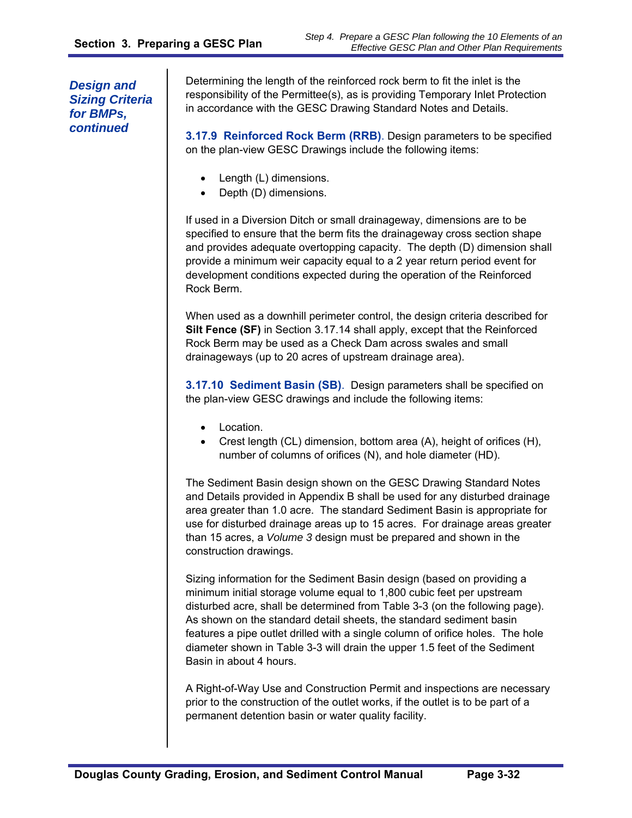Determining the length of the reinforced rock berm to fit the inlet is the responsibility of the Permittee(s), as is providing Temporary Inlet Protection in accordance with the GESC Drawing Standard Notes and Details.

**3.17.9 Reinforced Rock Berm (RRB)**. Design parameters to be specified on the plan-view GESC Drawings include the following items:

- Length (L) dimensions.
- Depth (D) dimensions.

If used in a Diversion Ditch or small drainageway, dimensions are to be specified to ensure that the berm fits the drainageway cross section shape and provides adequate overtopping capacity. The depth (D) dimension shall provide a minimum weir capacity equal to a 2 year return period event for development conditions expected during the operation of the Reinforced Rock Berm.

When used as a downhill perimeter control, the design criteria described for **Silt Fence (SF)** in Section 3.17.14 shall apply, except that the Reinforced Rock Berm may be used as a Check Dam across swales and small drainageways (up to 20 acres of upstream drainage area).

**3.17.10 Sediment Basin (SB)**. Design parameters shall be specified on the plan-view GESC drawings and include the following items:

- Location.
- Crest length (CL) dimension, bottom area (A), height of orifices (H), number of columns of orifices (N), and hole diameter (HD).

The Sediment Basin design shown on the GESC Drawing Standard Notes and Details provided in Appendix B shall be used for any disturbed drainage area greater than 1.0 acre. The standard Sediment Basin is appropriate for use for disturbed drainage areas up to 15 acres. For drainage areas greater than 15 acres, a *Volume 3* design must be prepared and shown in the construction drawings.

Sizing information for the Sediment Basin design (based on providing a minimum initial storage volume equal to 1,800 cubic feet per upstream disturbed acre, shall be determined from Table 3-3 (on the following page). As shown on the standard detail sheets, the standard sediment basin features a pipe outlet drilled with a single column of orifice holes. The hole diameter shown in Table 3-3 will drain the upper 1.5 feet of the Sediment Basin in about 4 hours.

A Right-of-Way Use and Construction Permit and inspections are necessary prior to the construction of the outlet works, if the outlet is to be part of a permanent detention basin or water quality facility.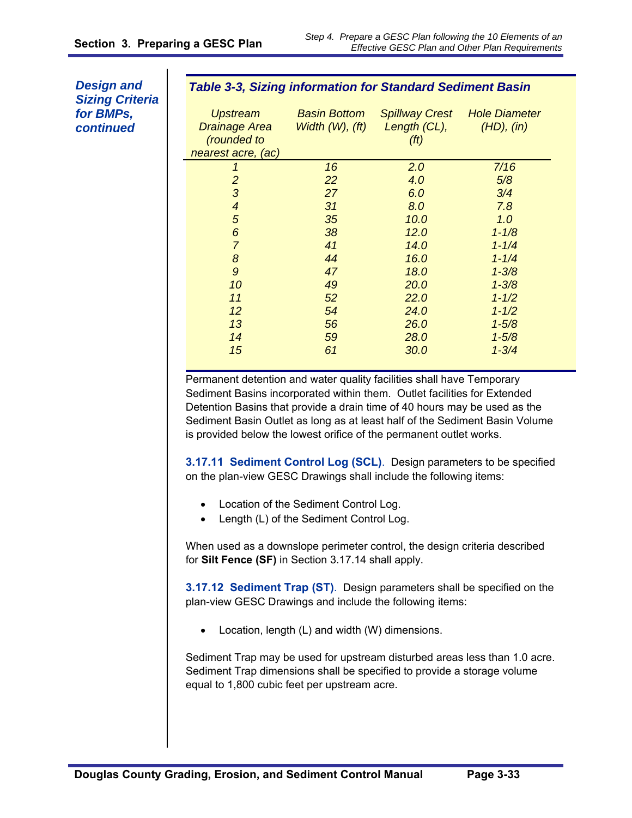#### *Table 3-3, Sizing information for Standard Sediment Basin*

| <b>Upstream</b><br><b>Drainage Area</b><br>(rounded to<br>nearest acre, (ac) | <b>Basin Bottom</b><br>Width (W), (ft) | <b>Spillway Crest</b><br>Length (CL),<br>(f <sup>t</sup> ) | <b>Hole Diameter</b><br>(HD), (in) |
|------------------------------------------------------------------------------|----------------------------------------|------------------------------------------------------------|------------------------------------|
| 1                                                                            | 16                                     | 2.0                                                        | 7/16                               |
| $\overline{2}$                                                               | 22                                     | 4.0                                                        | 5/8                                |
| 3                                                                            | 27                                     | 6.0                                                        | 3/4                                |
| $\overline{\mathcal{A}}$                                                     | 31                                     | 8.0                                                        | 7.8                                |
| 5                                                                            | 35                                     | 10.0                                                       | 1.0                                |
| 6                                                                            | 38                                     | 12.0                                                       | $1 - 1/8$                          |
| $\overline{7}$                                                               | 41                                     | 14.0                                                       | $1 - 1/4$                          |
| 8                                                                            | 44                                     | 16.0                                                       | $1 - 1/4$                          |
| 9                                                                            | 47                                     | 18.0                                                       | $1 - 3/8$                          |
| 10                                                                           | 49                                     | 20.0                                                       | $1 - 3/8$                          |
| 11                                                                           | 52                                     | 22.0                                                       | $1 - 1/2$                          |
| 12                                                                           | 54                                     | 24.0                                                       | $1 - 1/2$                          |
| 13                                                                           | 56                                     | 26.0                                                       | $1 - 5/8$                          |
| 14                                                                           | 59                                     | 28.0                                                       | $1 - 5/8$                          |
| 15                                                                           | 61                                     | 30.0                                                       | $1 - 3/4$                          |

Permanent detention and water quality facilities shall have Temporary Sediment Basins incorporated within them. Outlet facilities for Extended Detention Basins that provide a drain time of 40 hours may be used as the Sediment Basin Outlet as long as at least half of the Sediment Basin Volume is provided below the lowest orifice of the permanent outlet works.

**3.17.11 Sediment Control Log (SCL)**.Design parameters to be specified on the plan-view GESC Drawings shall include the following items:

- Location of the Sediment Control Log.
- Length (L) of the Sediment Control Log.

When used as a downslope perimeter control, the design criteria described for **Silt Fence (SF)** in Section 3.17.14 shall apply.

**3.17.12 Sediment Trap (ST)**.Design parameters shall be specified on the plan-view GESC Drawings and include the following items:

Location, length (L) and width (W) dimensions.

Sediment Trap may be used for upstream disturbed areas less than 1.0 acre. Sediment Trap dimensions shall be specified to provide a storage volume equal to 1,800 cubic feet per upstream acre.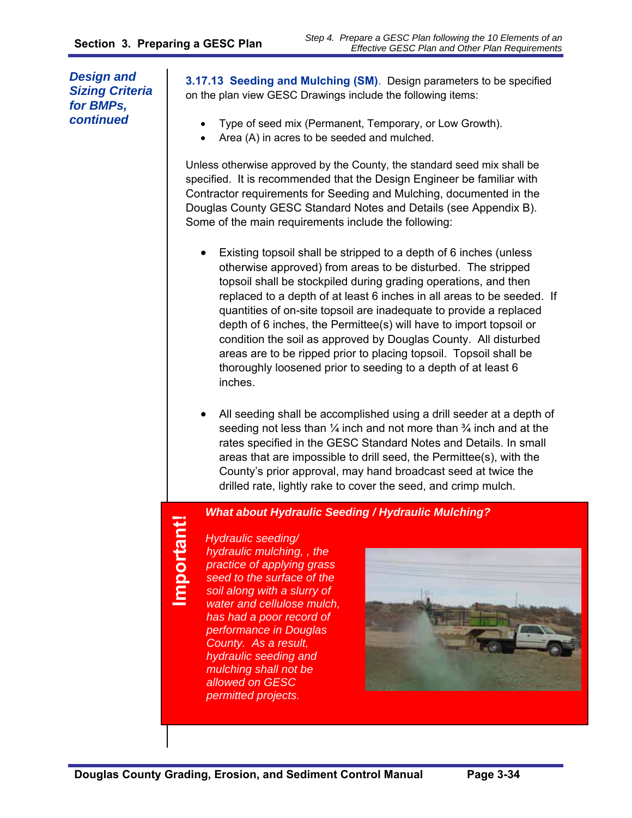**3.17.13 Seeding and Mulching (SM)**.Design parameters to be specified on the plan view GESC Drawings include the following items:

- Type of seed mix (Permanent, Temporary, or Low Growth).
- Area (A) in acres to be seeded and mulched.

Unless otherwise approved by the County, the standard seed mix shall be specified. It is recommended that the Design Engineer be familiar with Contractor requirements for Seeding and Mulching, documented in the Douglas County GESC Standard Notes and Details (see Appendix B). Some of the main requirements include the following:

- Existing topsoil shall be stripped to a depth of 6 inches (unless otherwise approved) from areas to be disturbed. The stripped topsoil shall be stockpiled during grading operations, and then replaced to a depth of at least 6 inches in all areas to be seeded. If quantities of on-site topsoil are inadequate to provide a replaced depth of 6 inches, the Permittee(s) will have to import topsoil or condition the soil as approved by Douglas County. All disturbed areas are to be ripped prior to placing topsoil. Topsoil shall be thoroughly loosened prior to seeding to a depth of at least 6 inches.
- All seeding shall be accomplished using a drill seeder at a depth of seeding not less than  $\frac{1}{4}$  inch and not more than  $\frac{3}{4}$  inch and at the rates specified in the GESC Standard Notes and Details. In small areas that are impossible to drill seed, the Permittee(s), with the County's prior approval, may hand broadcast seed at twice the drilled rate, lightly rake to cover the seed, and crimp mulch.

#### *What about Hydraulic Seeding / Hydraulic Mulching?*

**Important!** Important!

*Hydraulic seeding/ hydraulic mulching, , the practice of applying grass seed to the surface of the soil along with a slurry of water and cellulose mulch, has had a poor record of performance in Douglas County. As a result, hydraulic seeding and mulching shall not be allowed on GESC permitted projects.* 

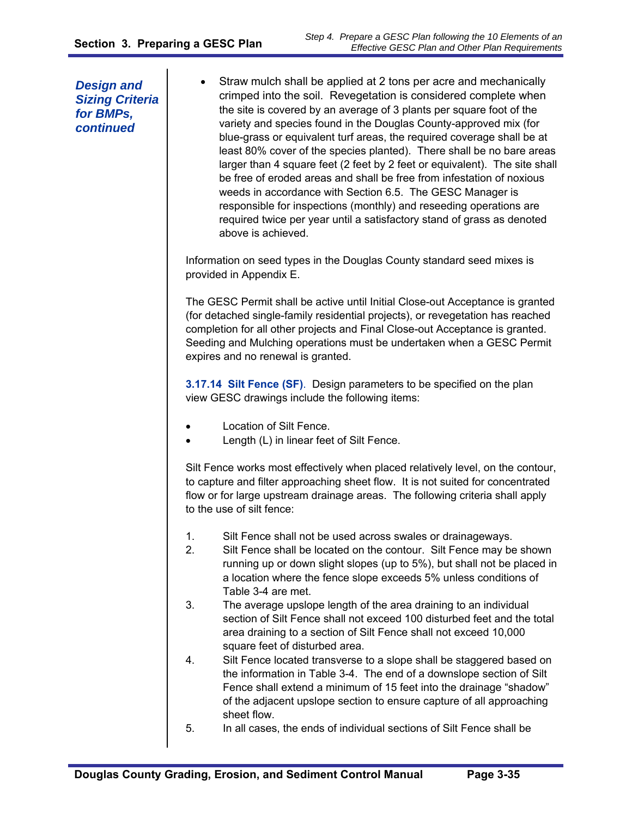Straw mulch shall be applied at 2 tons per acre and mechanically crimped into the soil. Revegetation is considered complete when the site is covered by an average of 3 plants per square foot of the variety and species found in the Douglas County-approved mix (for blue-grass or equivalent turf areas, the required coverage shall be at least 80% cover of the species planted). There shall be no bare areas larger than 4 square feet (2 feet by 2 feet or equivalent). The site shall be free of eroded areas and shall be free from infestation of noxious weeds in accordance with Section 6.5. The GESC Manager is responsible for inspections (monthly) and reseeding operations are required twice per year until a satisfactory stand of grass as denoted above is achieved.

Information on seed types in the Douglas County standard seed mixes is provided in Appendix E.

The GESC Permit shall be active until Initial Close-out Acceptance is granted (for detached single-family residential projects), or revegetation has reached completion for all other projects and Final Close-out Acceptance is granted. Seeding and Mulching operations must be undertaken when a GESC Permit expires and no renewal is granted.

**3.17.14 Silt Fence (SF)**.Design parameters to be specified on the plan view GESC drawings include the following items:

- Location of Silt Fence.
- Length (L) in linear feet of Silt Fence.

Silt Fence works most effectively when placed relatively level, on the contour, to capture and filter approaching sheet flow. It is not suited for concentrated flow or for large upstream drainage areas. The following criteria shall apply to the use of silt fence:

- 1. Silt Fence shall not be used across swales or drainageways.
- 2. Silt Fence shall be located on the contour. Silt Fence may be shown running up or down slight slopes (up to 5%), but shall not be placed in a location where the fence slope exceeds 5% unless conditions of Table 3-4 are met.
- 3. The average upslope length of the area draining to an individual section of Silt Fence shall not exceed 100 disturbed feet and the total area draining to a section of Silt Fence shall not exceed 10,000 square feet of disturbed area.
- 4. Silt Fence located transverse to a slope shall be staggered based on the information in Table 3-4. The end of a downslope section of Silt Fence shall extend a minimum of 15 feet into the drainage "shadow" of the adjacent upslope section to ensure capture of all approaching sheet flow.
- 5. In all cases, the ends of individual sections of Silt Fence shall be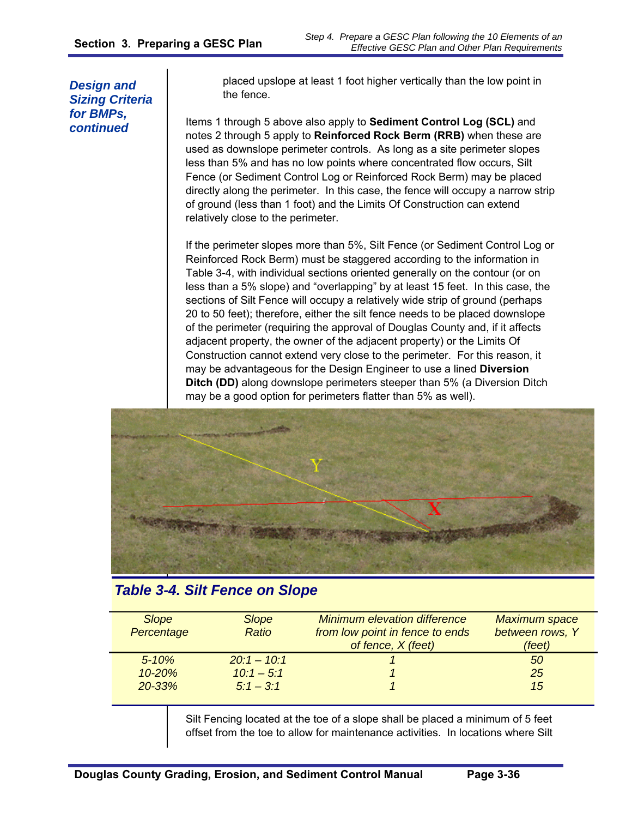placed upslope at least 1 foot higher vertically than the low point in the fence.

Items 1 through 5 above also apply to **Sediment Control Log (SCL)** and notes 2 through 5 apply to **Reinforced Rock Berm (RRB)** when these are used as downslope perimeter controls. As long as a site perimeter slopes less than 5% and has no low points where concentrated flow occurs, Silt Fence (or Sediment Control Log or Reinforced Rock Berm) may be placed directly along the perimeter. In this case, the fence will occupy a narrow strip of ground (less than 1 foot) and the Limits Of Construction can extend relatively close to the perimeter.

If the perimeter slopes more than 5%, Silt Fence (or Sediment Control Log or Reinforced Rock Berm) must be staggered according to the information in Table 3-4, with individual sections oriented generally on the contour (or on less than a 5% slope) and "overlapping" by at least 15 feet. In this case, the sections of Silt Fence will occupy a relatively wide strip of ground (perhaps 20 to 50 feet); therefore, either the silt fence needs to be placed downslope of the perimeter (requiring the approval of Douglas County and, if it affects adjacent property, the owner of the adjacent property) or the Limits Of Construction cannot extend very close to the perimeter. For this reason, it may be advantageous for the Design Engineer to use a lined **Diversion Ditch (DD)** along downslope perimeters steeper than 5% (a Diversion Ditch may be a good option for perimeters flatter than 5% as well).



# *Table 3-4. Silt Fence on Slope*

| <b>Slope</b><br>Percentage | <b>Slope</b><br><b>Ratio</b> | <b>Minimum elevation difference</b><br>from low point in fence to ends<br>of fence, X (feet) | <b>Maximum space</b><br>between rows, Y<br>(feet) |
|----------------------------|------------------------------|----------------------------------------------------------------------------------------------|---------------------------------------------------|
| $5 - 10%$                  | $20:1 - 10:1$                |                                                                                              | 50                                                |
| $10 - 20%$                 | $10:1 - 5:1$                 |                                                                                              | 25                                                |
| $20 - 33%$                 | $5:1 - 3:1$                  |                                                                                              | 15                                                |

Silt Fencing located at the toe of a slope shall be placed a minimum of 5 feet offset from the toe to allow for maintenance activities. In locations where Silt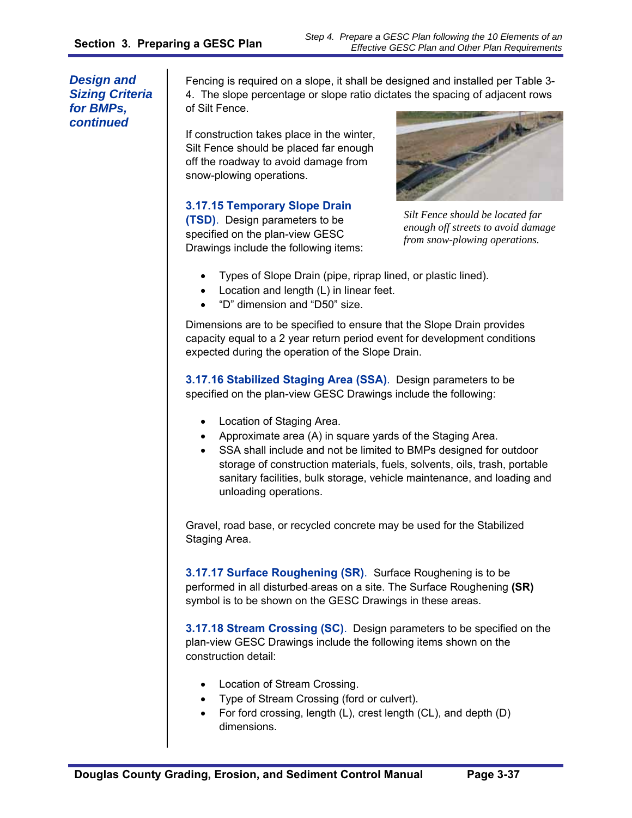Fencing is required on a slope, it shall be designed and installed per Table 3- 4. The slope percentage or slope ratio dictates the spacing of adjacent rows of Silt Fence.

If construction takes place in the winter, Silt Fence should be placed far enough off the roadway to avoid damage from snow-plowing operations.

# **3.17.15 Temporary Slope Drain**

**(TSD)**. Design parameters to be specified on the plan-view GESC Drawings include the following items:



*Silt Fence should be located far enough off streets to avoid damage from snow-plowing operations.* 

- Types of Slope Drain (pipe, riprap lined, or plastic lined).
- Location and length (L) in linear feet.
- "D" dimension and "D50" size.

Dimensions are to be specified to ensure that the Slope Drain provides capacity equal to a 2 year return period event for development conditions expected during the operation of the Slope Drain.

**3.17.16 Stabilized Staging Area (SSA)**.Design parameters to be specified on the plan-view GESC Drawings include the following:

- Location of Staging Area.
- Approximate area (A) in square yards of the Staging Area.
- SSA shall include and not be limited to BMPs designed for outdoor storage of construction materials, fuels, solvents, oils, trash, portable sanitary facilities, bulk storage, vehicle maintenance, and loading and unloading operations.

Gravel, road base, or recycled concrete may be used for the Stabilized Staging Area.

**3.17.17 Surface Roughening (SR)**.Surface Roughening is to be performed in all disturbed areas on a site. The Surface Roughening **(SR)**  symbol is to be shown on the GESC Drawings in these areas.

**3.17.18 Stream Crossing (SC)**. Design parameters to be specified on the plan-view GESC Drawings include the following items shown on the construction detail:

- Location of Stream Crossing.
- Type of Stream Crossing (ford or culvert).
- For ford crossing, length (L), crest length (CL), and depth (D) dimensions.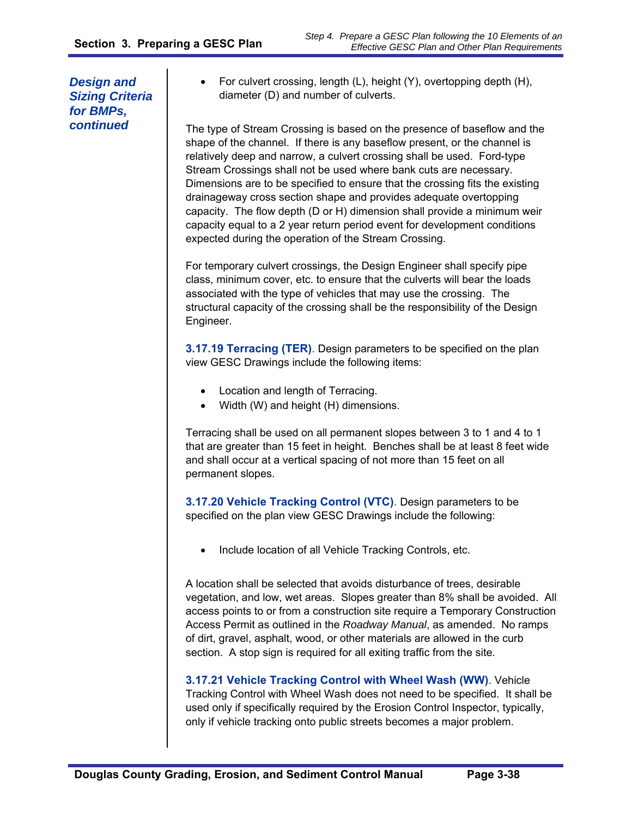For culvert crossing, length (L), height (Y), overtopping depth (H), diameter (D) and number of culverts.

The type of Stream Crossing is based on the presence of baseflow and the shape of the channel. If there is any baseflow present, or the channel is relatively deep and narrow, a culvert crossing shall be used. Ford-type Stream Crossings shall not be used where bank cuts are necessary. Dimensions are to be specified to ensure that the crossing fits the existing drainageway cross section shape and provides adequate overtopping capacity. The flow depth (D or H) dimension shall provide a minimum weir capacity equal to a 2 year return period event for development conditions expected during the operation of the Stream Crossing.

For temporary culvert crossings, the Design Engineer shall specify pipe class, minimum cover, etc. to ensure that the culverts will bear the loads associated with the type of vehicles that may use the crossing. The structural capacity of the crossing shall be the responsibility of the Design Engineer.

**3.17.19 Terracing (TER)**. Design parameters to be specified on the plan view GESC Drawings include the following items:

- Location and length of Terracing.
- Width (W) and height (H) dimensions.

Terracing shall be used on all permanent slopes between 3 to 1 and 4 to 1 that are greater than 15 feet in height. Benches shall be at least 8 feet wide and shall occur at a vertical spacing of not more than 15 feet on all permanent slopes.

**3.17.20 Vehicle Tracking Control (VTC)**. Design parameters to be specified on the plan view GESC Drawings include the following:

Include location of all Vehicle Tracking Controls, etc.

A location shall be selected that avoids disturbance of trees, desirable vegetation, and low, wet areas. Slopes greater than 8% shall be avoided. All access points to or from a construction site require a Temporary Construction Access Permit as outlined in the *Roadway Manual*, as amended. No ramps of dirt, gravel, asphalt, wood, or other materials are allowed in the curb section. A stop sign is required for all exiting traffic from the site.

**3.17.21 Vehicle Tracking Control with Wheel Wash (WW)**. Vehicle Tracking Control with Wheel Wash does not need to be specified. It shall be used only if specifically required by the Erosion Control Inspector, typically, only if vehicle tracking onto public streets becomes a major problem.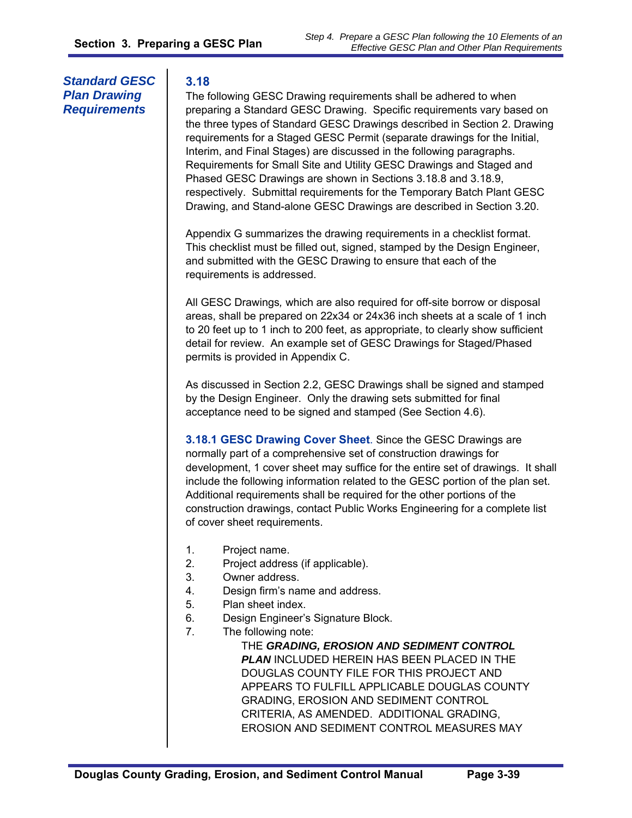# *Standard GESC Plan Drawing Requirements*

#### **3.18**

The following GESC Drawing requirements shall be adhered to when preparing a Standard GESC Drawing. Specific requirements vary based on the three types of Standard GESC Drawings described in Section 2. Drawing requirements for a Staged GESC Permit (separate drawings for the Initial, Interim, and Final Stages) are discussed in the following paragraphs. Requirements for Small Site and Utility GESC Drawings and Staged and Phased GESC Drawings are shown in Sections 3.18.8 and 3.18.9, respectively. Submittal requirements for the Temporary Batch Plant GESC Drawing, and Stand-alone GESC Drawings are described in Section 3.20.

Appendix G summarizes the drawing requirements in a checklist format. This checklist must be filled out, signed, stamped by the Design Engineer, and submitted with the GESC Drawing to ensure that each of the requirements is addressed.

All GESC Drawings*,* which are also required for off-site borrow or disposal areas, shall be prepared on 22x34 or 24x36 inch sheets at a scale of 1 inch to 20 feet up to 1 inch to 200 feet, as appropriate, to clearly show sufficient detail for review. An example set of GESC Drawings for Staged/Phased permits is provided in Appendix C.

As discussed in Section 2.2, GESC Drawings shall be signed and stamped by the Design Engineer. Only the drawing sets submitted for final acceptance need to be signed and stamped (See Section 4.6).

**3.18.1 GESC Drawing Cover Sheet**. Since the GESC Drawings are normally part of a comprehensive set of construction drawings for development, 1 cover sheet may suffice for the entire set of drawings. It shall include the following information related to the GESC portion of the plan set. Additional requirements shall be required for the other portions of the construction drawings, contact Public Works Engineering for a complete list of cover sheet requirements.

- 1. Project name.
- 2. Project address (if applicable).
- 3. Owner address.
- 4. Design firm's name and address.
- 5. Plan sheet index.
- 6. Design Engineer's Signature Block.
- 7. The following note:

THE *GRADING, EROSION AND SEDIMENT CONTROL PLAN* INCLUDED HEREIN HAS BEEN PLACED IN THE DOUGLAS COUNTY FILE FOR THIS PROJECT AND APPEARS TO FULFILL APPLICABLE DOUGLAS COUNTY GRADING, EROSION AND SEDIMENT CONTROL CRITERIA, AS AMENDED. ADDITIONAL GRADING, EROSION AND SEDIMENT CONTROL MEASURES MAY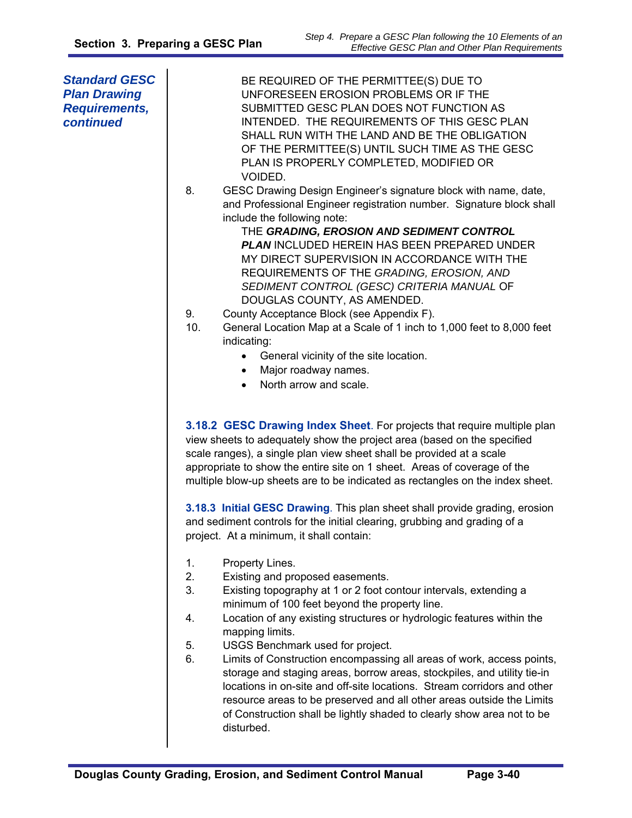| <b>Standard GESC</b><br><b>Plan Drawing</b><br><b>Requirements,</b><br>continued | BE REQUIRED OF THE PERMITTEE(S) DUE TO<br>UNFORESEEN EROSION PROBLEMS OR IF THE<br>SUBMITTED GESC PLAN DOES NOT FUNCTION AS<br>INTENDED. THE REQUIREMENTS OF THIS GESC PLAN<br>SHALL RUN WITH THE LAND AND BE THE OBLIGATION<br>OF THE PERMITTEE(S) UNTIL SUCH TIME AS THE GESC<br>PLAN IS PROPERLY COMPLETED, MODIFIED OR<br>VOIDED.<br>GESC Drawing Design Engineer's signature block with name, date,<br>8.<br>and Professional Engineer registration number. Signature block shall<br>include the following note:<br>THE GRADING, EROSION AND SEDIMENT CONTROL<br><b>PLAN INCLUDED HEREIN HAS BEEN PREPARED UNDER</b><br>MY DIRECT SUPERVISION IN ACCORDANCE WITH THE<br>REQUIREMENTS OF THE GRADING, EROSION, AND<br>SEDIMENT CONTROL (GESC) CRITERIA MANUAL OF<br>DOUGLAS COUNTY, AS AMENDED.<br>County Acceptance Block (see Appendix F).<br>9.<br>10.<br>General Location Map at a Scale of 1 inch to 1,000 feet to 8,000 feet<br>indicating:<br>General vicinity of the site location.<br>Major roadway names.<br>$\bullet$<br>North arrow and scale.<br>$\bullet$                                                                                                                                                                                                                                                                       |
|----------------------------------------------------------------------------------|---------------------------------------------------------------------------------------------------------------------------------------------------------------------------------------------------------------------------------------------------------------------------------------------------------------------------------------------------------------------------------------------------------------------------------------------------------------------------------------------------------------------------------------------------------------------------------------------------------------------------------------------------------------------------------------------------------------------------------------------------------------------------------------------------------------------------------------------------------------------------------------------------------------------------------------------------------------------------------------------------------------------------------------------------------------------------------------------------------------------------------------------------------------------------------------------------------------------------------------------------------------------------------------------------------------------------------------------------|
|                                                                                  | 3.18.2 GESC Drawing Index Sheet. For projects that require multiple plan<br>view sheets to adequately show the project area (based on the specified<br>scale ranges), a single plan view sheet shall be provided at a scale<br>appropriate to show the entire site on 1 sheet. Areas of coverage of the<br>multiple blow-up sheets are to be indicated as rectangles on the index sheet.<br>3.18.3 Initial GESC Drawing. This plan sheet shall provide grading, erosion<br>and sediment controls for the initial clearing, grubbing and grading of a<br>project. At a minimum, it shall contain:<br>1.<br>Property Lines.<br>2.<br>Existing and proposed easements.<br>3.<br>Existing topography at 1 or 2 foot contour intervals, extending a<br>minimum of 100 feet beyond the property line.<br>Location of any existing structures or hydrologic features within the<br>4.<br>mapping limits.<br>5.<br>USGS Benchmark used for project.<br>6.<br>Limits of Construction encompassing all areas of work, access points,<br>storage and staging areas, borrow areas, stockpiles, and utility tie-in<br>locations in on-site and off-site locations. Stream corridors and other<br>resource areas to be preserved and all other areas outside the Limits<br>of Construction shall be lightly shaded to clearly show area not to be<br>disturbed. |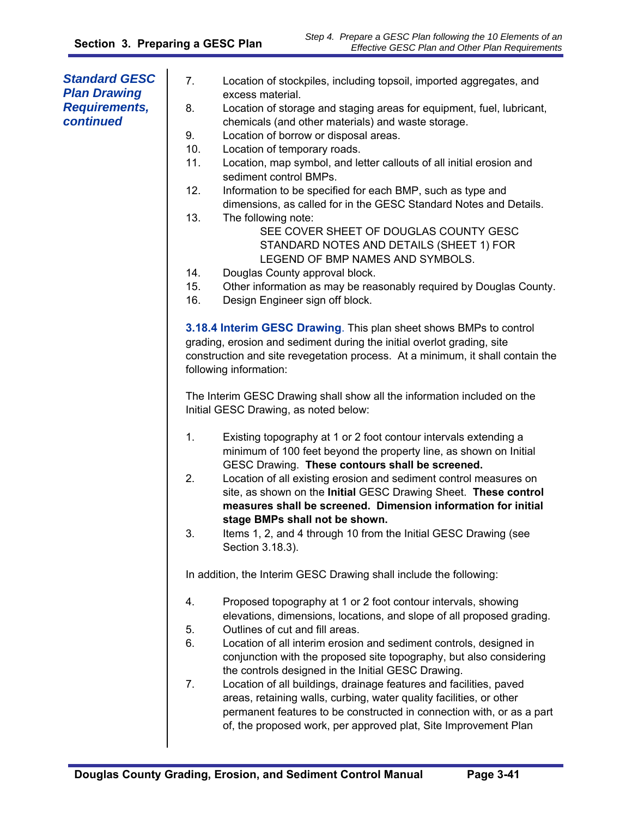| <b>Standard GESC</b><br><b>Plan Drawing</b><br><b>Requirements,</b><br>continued | 7.<br>Location of stockpiles, including topsoil, imported aggregates, and<br>excess material.<br>8.<br>Location of storage and staging areas for equipment, fuel, lubricant,<br>chemicals (and other materials) and waste storage.<br>9.<br>Location of borrow or disposal areas.<br>10.<br>Location of temporary roads. |
|----------------------------------------------------------------------------------|--------------------------------------------------------------------------------------------------------------------------------------------------------------------------------------------------------------------------------------------------------------------------------------------------------------------------|
|                                                                                  | 11.<br>Location, map symbol, and letter callouts of all initial erosion and<br>sediment control BMPs.                                                                                                                                                                                                                    |
|                                                                                  | 12.<br>Information to be specified for each BMP, such as type and<br>dimensions, as called for in the GESC Standard Notes and Details.                                                                                                                                                                                   |
|                                                                                  | 13.<br>The following note:<br>SEE COVER SHEET OF DOUGLAS COUNTY GESC<br>STANDARD NOTES AND DETAILS (SHEET 1) FOR<br>LEGEND OF BMP NAMES AND SYMBOLS.                                                                                                                                                                     |
|                                                                                  | Douglas County approval block.<br>14.                                                                                                                                                                                                                                                                                    |
|                                                                                  | 15.<br>Other information as may be reasonably required by Douglas County.<br>16.<br>Design Engineer sign off block.                                                                                                                                                                                                      |
|                                                                                  | 3.18.4 Interim GESC Drawing. This plan sheet shows BMPs to control<br>grading, erosion and sediment during the initial overlot grading, site<br>construction and site revegetation process. At a minimum, it shall contain the<br>following information:                                                                 |
|                                                                                  | The Interim GESC Drawing shall show all the information included on the<br>Initial GESC Drawing, as noted below:                                                                                                                                                                                                         |
|                                                                                  | 1.<br>Existing topography at 1 or 2 foot contour intervals extending a<br>minimum of 100 feet beyond the property line, as shown on Initial<br>GESC Drawing. These contours shall be screened.                                                                                                                           |
|                                                                                  | 2.<br>Location of all existing erosion and sediment control measures on<br>site, as shown on the Initial GESC Drawing Sheet. These control<br>measures shall be screened. Dimension information for initial<br>stage BMPs shall not be shown.                                                                            |
|                                                                                  | 3.<br>Items 1, 2, and 4 through 10 from the Initial GESC Drawing (see<br>Section 3.18.3).                                                                                                                                                                                                                                |
|                                                                                  | In addition, the Interim GESC Drawing shall include the following:                                                                                                                                                                                                                                                       |
|                                                                                  | Proposed topography at 1 or 2 foot contour intervals, showing<br>4.<br>elevations, dimensions, locations, and slope of all proposed grading.                                                                                                                                                                             |
|                                                                                  | Outlines of cut and fill areas.<br>5.                                                                                                                                                                                                                                                                                    |
|                                                                                  | 6.<br>Location of all interim erosion and sediment controls, designed in<br>conjunction with the proposed site topography, but also considering<br>the controls designed in the Initial GESC Drawing.                                                                                                                    |
|                                                                                  | 7.<br>Location of all buildings, drainage features and facilities, paved<br>areas, retaining walls, curbing, water quality facilities, or other<br>permanent features to be constructed in connection with, or as a part<br>of, the proposed work, per approved plat, Site Improvement Plan                              |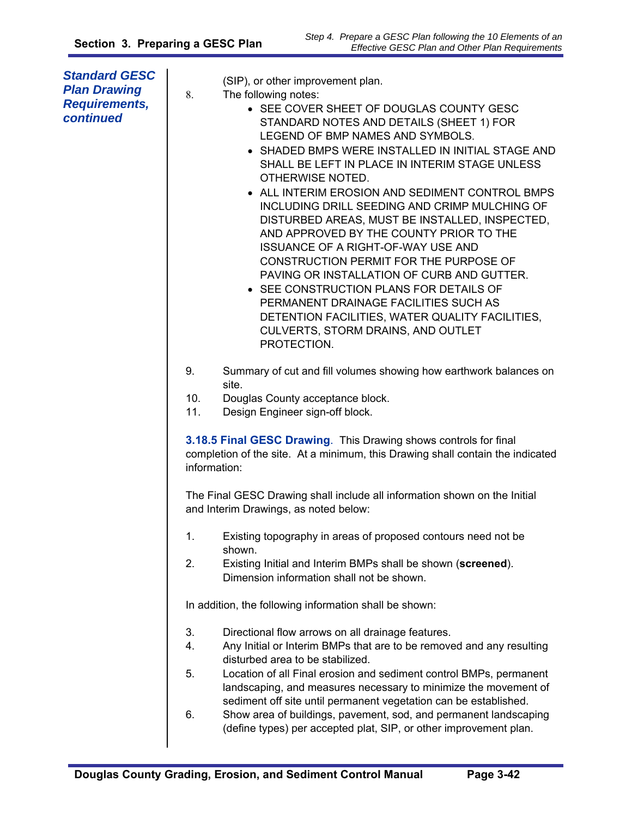| <b>Standard GESC</b><br><b>Plan Drawing</b><br><b>Requirements,</b><br>continued | (SIP), or other improvement plan.<br>8.<br>The following notes:<br>• SEE COVER SHEET OF DOUGLAS COUNTY GESC<br>STANDARD NOTES AND DETAILS (SHEET 1) FOR<br>LEGEND OF BMP NAMES AND SYMBOLS.<br>• SHADED BMPS WERE INSTALLED IN INITIAL STAGE AND<br>SHALL BE LEFT IN PLACE IN INTERIM STAGE UNLESS<br>OTHERWISE NOTED.<br>• ALL INTERIM EROSION AND SEDIMENT CONTROL BMPS<br>INCLUDING DRILL SEEDING AND CRIMP MULCHING OF<br>DISTURBED AREAS, MUST BE INSTALLED, INSPECTED,<br>AND APPROVED BY THE COUNTY PRIOR TO THE<br><b>ISSUANCE OF A RIGHT-OF-WAY USE AND</b><br>CONSTRUCTION PERMIT FOR THE PURPOSE OF<br>PAVING OR INSTALLATION OF CURB AND GUTTER.<br>• SEE CONSTRUCTION PLANS FOR DETAILS OF<br>PERMANENT DRAINAGE FACILITIES SUCH AS<br>DETENTION FACILITIES, WATER QUALITY FACILITIES,<br>CULVERTS, STORM DRAINS, AND OUTLET<br>PROTECTION. |
|----------------------------------------------------------------------------------|----------------------------------------------------------------------------------------------------------------------------------------------------------------------------------------------------------------------------------------------------------------------------------------------------------------------------------------------------------------------------------------------------------------------------------------------------------------------------------------------------------------------------------------------------------------------------------------------------------------------------------------------------------------------------------------------------------------------------------------------------------------------------------------------------------------------------------------------------------|
|                                                                                  | 9.<br>Summary of cut and fill volumes showing how earthwork balances on<br>site.<br>10.<br>Douglas County acceptance block.<br>11.<br>Design Engineer sign-off block.                                                                                                                                                                                                                                                                                                                                                                                                                                                                                                                                                                                                                                                                                    |
|                                                                                  | 3.18.5 Final GESC Drawing. This Drawing shows controls for final<br>completion of the site. At a minimum, this Drawing shall contain the indicated<br>information:                                                                                                                                                                                                                                                                                                                                                                                                                                                                                                                                                                                                                                                                                       |
|                                                                                  | The Final GESC Drawing shall include all information shown on the Initial<br>and Interim Drawings, as noted below:                                                                                                                                                                                                                                                                                                                                                                                                                                                                                                                                                                                                                                                                                                                                       |
|                                                                                  | 1.<br>Existing topography in areas of proposed contours need not be<br>shown.                                                                                                                                                                                                                                                                                                                                                                                                                                                                                                                                                                                                                                                                                                                                                                            |
|                                                                                  | 2.<br>Existing Initial and Interim BMPs shall be shown (screened).<br>Dimension information shall not be shown.                                                                                                                                                                                                                                                                                                                                                                                                                                                                                                                                                                                                                                                                                                                                          |
|                                                                                  | In addition, the following information shall be shown:                                                                                                                                                                                                                                                                                                                                                                                                                                                                                                                                                                                                                                                                                                                                                                                                   |
|                                                                                  | 3.<br>Directional flow arrows on all drainage features.<br>4.<br>Any Initial or Interim BMPs that are to be removed and any resulting<br>disturbed area to be stabilized.                                                                                                                                                                                                                                                                                                                                                                                                                                                                                                                                                                                                                                                                                |
|                                                                                  | 5.<br>Location of all Final erosion and sediment control BMPs, permanent<br>landscaping, and measures necessary to minimize the movement of<br>sediment off site until permanent vegetation can be established.                                                                                                                                                                                                                                                                                                                                                                                                                                                                                                                                                                                                                                          |
|                                                                                  | 6.<br>Show area of buildings, pavement, sod, and permanent landscaping<br>(define types) per accepted plat, SIP, or other improvement plan.                                                                                                                                                                                                                                                                                                                                                                                                                                                                                                                                                                                                                                                                                                              |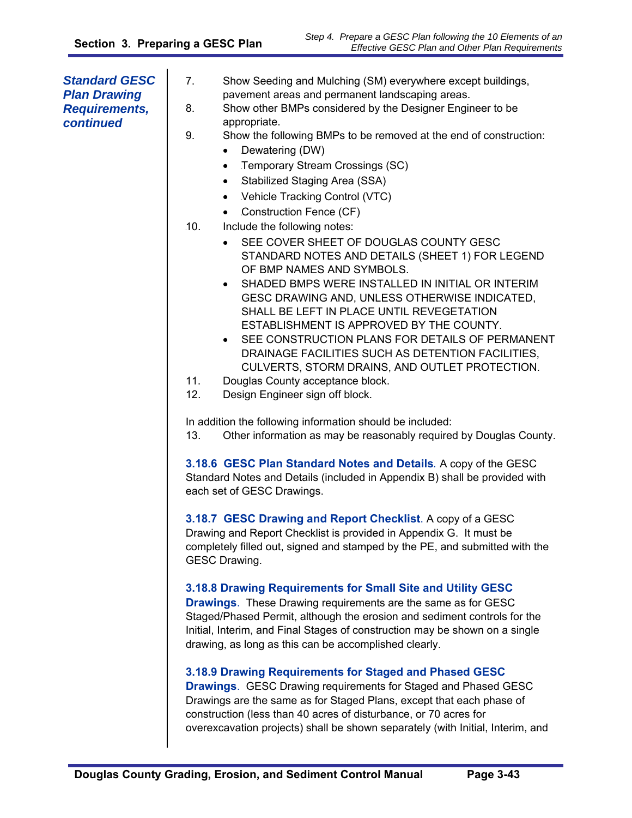| <b>Standard GESC</b><br><b>Plan Drawing</b><br><b>Requirements,</b><br>continued | 7.<br>Show Seeding and Mulching (SM) everywhere except buildings,<br>pavement areas and permanent landscaping areas.<br>Show other BMPs considered by the Designer Engineer to be<br>8.<br>appropriate.<br>9.<br>Show the following BMPs to be removed at the end of construction:<br>Dewatering (DW)<br>$\bullet$<br>Temporary Stream Crossings (SC)<br>$\bullet$<br>Stabilized Staging Area (SSA)<br>$\bullet$<br>Vehicle Tracking Control (VTC)<br>$\bullet$<br>Construction Fence (CF)<br>$\bullet$<br>Include the following notes:<br>.10.<br>SEE COVER SHEET OF DOUGLAS COUNTY GESC<br>STANDARD NOTES AND DETAILS (SHEET 1) FOR LEGEND<br>OF BMP NAMES AND SYMBOLS.<br>SHADED BMPS WERE INSTALLED IN INITIAL OR INTERIM<br>$\bullet$<br>GESC DRAWING AND, UNLESS OTHERWISE INDICATED,<br>SHALL BE LEFT IN PLACE UNTIL REVEGETATION<br>ESTABLISHMENT IS APPROVED BY THE COUNTY.<br>SEE CONSTRUCTION PLANS FOR DETAILS OF PERMANENT<br>$\bullet$<br>DRAINAGE FACILITIES SUCH AS DETENTION FACILITIES,<br>CULVERTS, STORM DRAINS, AND OUTLET PROTECTION.<br>11.<br>Douglas County acceptance block. |
|----------------------------------------------------------------------------------|--------------------------------------------------------------------------------------------------------------------------------------------------------------------------------------------------------------------------------------------------------------------------------------------------------------------------------------------------------------------------------------------------------------------------------------------------------------------------------------------------------------------------------------------------------------------------------------------------------------------------------------------------------------------------------------------------------------------------------------------------------------------------------------------------------------------------------------------------------------------------------------------------------------------------------------------------------------------------------------------------------------------------------------------------------------------------------------------------------|
|                                                                                  | 12.<br>Design Engineer sign off block.<br>In addition the following information should be included:                                                                                                                                                                                                                                                                                                                                                                                                                                                                                                                                                                                                                                                                                                                                                                                                                                                                                                                                                                                                    |
|                                                                                  | Other information as may be reasonably required by Douglas County.<br>13.<br>3.18.6 GESC Plan Standard Notes and Details. A copy of the GESC<br>Standard Notes and Details (included in Appendix B) shall be provided with<br>each set of GESC Drawings.                                                                                                                                                                                                                                                                                                                                                                                                                                                                                                                                                                                                                                                                                                                                                                                                                                               |
|                                                                                  | 3.18.7 GESC Drawing and Report Checklist. A copy of a GESC<br>Drawing and Report Checklist is provided in Appendix G. It must be<br>completely filled out, signed and stamped by the PE, and submitted with the<br><b>GESC Drawing.</b>                                                                                                                                                                                                                                                                                                                                                                                                                                                                                                                                                                                                                                                                                                                                                                                                                                                                |
|                                                                                  | 3.18.8 Drawing Requirements for Small Site and Utility GESC<br><b>Drawings.</b> These Drawing requirements are the same as for GESC<br>Staged/Phased Permit, although the erosion and sediment controls for the<br>Initial, Interim, and Final Stages of construction may be shown on a single<br>drawing, as long as this can be accomplished clearly.                                                                                                                                                                                                                                                                                                                                                                                                                                                                                                                                                                                                                                                                                                                                                |
|                                                                                  | 3.18.9 Drawing Requirements for Staged and Phased GESC<br><b>Drawings.</b> GESC Drawing requirements for Staged and Phased GESC<br>Drawings are the same as for Staged Plans, except that each phase of<br>construction (less than 40 acres of disturbance, or 70 acres for<br>overexcavation projects) shall be shown separately (with Initial, Interim, and                                                                                                                                                                                                                                                                                                                                                                                                                                                                                                                                                                                                                                                                                                                                          |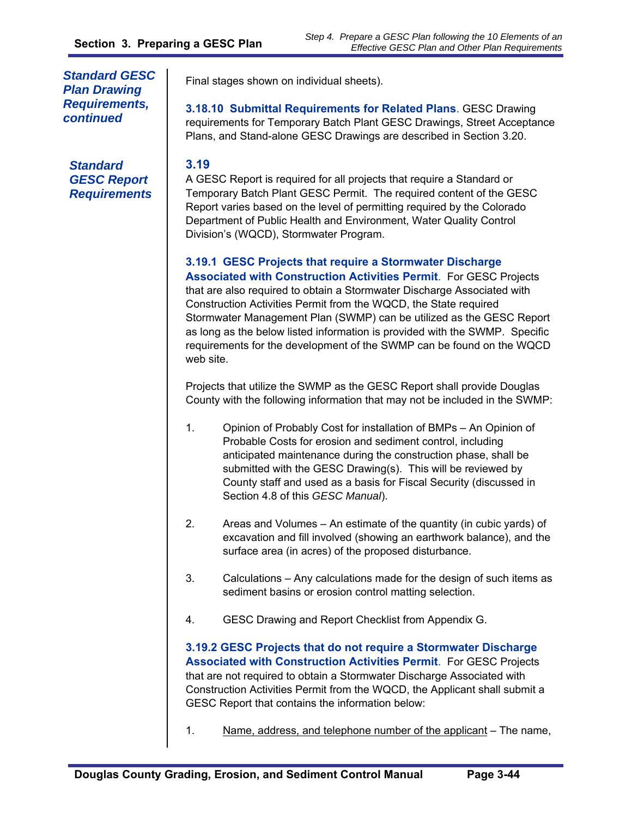*Standard GESC Plan Drawing Requirements, continued* 

*Standard GESC Report Requirements*  Final stages shown on individual sheets).

**3.18.10 Submittal Requirements for Related Plans**. GESC Drawing requirements for Temporary Batch Plant GESC Drawings, Street Acceptance Plans, and Stand-alone GESC Drawings are described in Section 3.20.

#### **3.19**

A GESC Report is required for all projects that require a Standard or Temporary Batch Plant GESC Permit. The required content of the GESC Report varies based on the level of permitting required by the Colorado Department of Public Health and Environment, Water Quality Control Division's (WQCD), Stormwater Program.

**3.19.1 GESC Projects that require a Stormwater Discharge Associated with Construction Activities Permit**. For GESC Projects that are also required to obtain a Stormwater Discharge Associated with Construction Activities Permit from the WQCD, the State required Stormwater Management Plan (SWMP) can be utilized as the GESC Report as long as the below listed information is provided with the SWMP. Specific requirements for the development of the SWMP can be found on the WQCD web site.

Projects that utilize the SWMP as the GESC Report shall provide Douglas County with the following information that may not be included in the SWMP:

- 1. Opinion of Probably Cost for installation of BMPs An Opinion of Probable Costs for erosion and sediment control, including anticipated maintenance during the construction phase, shall be submitted with the GESC Drawing(s). This will be reviewed by County staff and used as a basis for Fiscal Security (discussed in Section 4.8 of this *GESC Manual*).
- 2. Areas and Volumes An estimate of the quantity (in cubic yards) of excavation and fill involved (showing an earthwork balance), and the surface area (in acres) of the proposed disturbance.
- 3. Calculations Any calculations made for the design of such items as sediment basins or erosion control matting selection.
- 4. GESC Drawing and Report Checklist from Appendix G.

**3.19.2 GESC Projects that do not require a Stormwater Discharge Associated with Construction Activities Permit**. For GESC Projects that are not required to obtain a Stormwater Discharge Associated with Construction Activities Permit from the WQCD, the Applicant shall submit a GESC Report that contains the information below:

1. Name, address, and telephone number of the applicant  $-$  The name,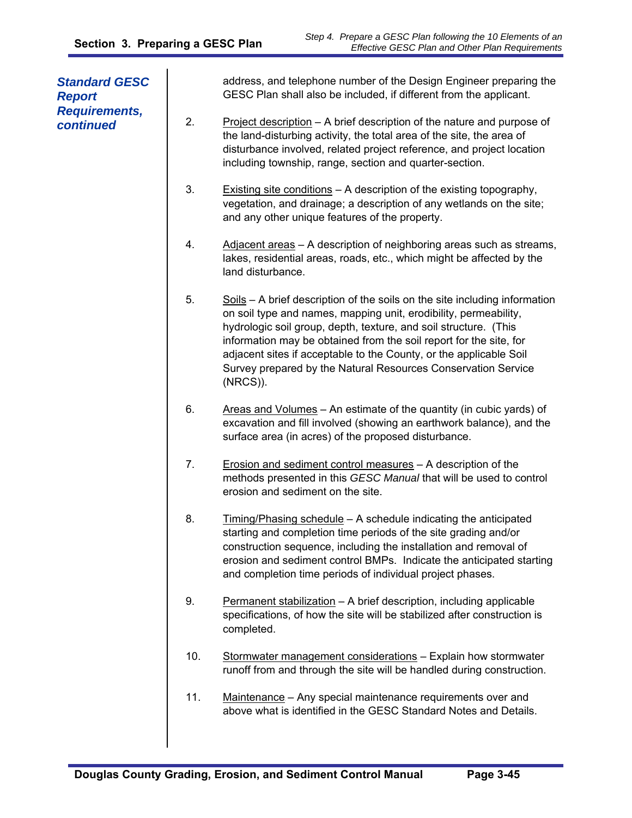| <b>Standard GESC</b><br><b>Report</b> |     | address, and telephone number of the Design Engineer preparing the<br>GESC Plan shall also be included, if different from the applicant.                                                                                                                                                                                                                                                                                                       |
|---------------------------------------|-----|------------------------------------------------------------------------------------------------------------------------------------------------------------------------------------------------------------------------------------------------------------------------------------------------------------------------------------------------------------------------------------------------------------------------------------------------|
| <b>Requirements,</b><br>continued     | 2.  | Project description - A brief description of the nature and purpose of<br>the land-disturbing activity, the total area of the site, the area of<br>disturbance involved, related project reference, and project location<br>including township, range, section and quarter-section.                                                                                                                                                            |
|                                       | 3.  | Existing site conditions - A description of the existing topography,<br>vegetation, and drainage; a description of any wetlands on the site;<br>and any other unique features of the property.                                                                                                                                                                                                                                                 |
|                                       | 4.  | Adjacent areas - A description of neighboring areas such as streams,<br>lakes, residential areas, roads, etc., which might be affected by the<br>land disturbance.                                                                                                                                                                                                                                                                             |
|                                       | 5.  | Soils – A brief description of the soils on the site including information<br>on soil type and names, mapping unit, erodibility, permeability,<br>hydrologic soil group, depth, texture, and soil structure. (This<br>information may be obtained from the soil report for the site, for<br>adjacent sites if acceptable to the County, or the applicable Soil<br>Survey prepared by the Natural Resources Conservation Service<br>$(NRCS)$ ). |
|                                       | 6.  | Areas and Volumes - An estimate of the quantity (in cubic yards) of<br>excavation and fill involved (showing an earthwork balance), and the<br>surface area (in acres) of the proposed disturbance.                                                                                                                                                                                                                                            |
|                                       | 7.  | Erosion and sediment control measures - A description of the<br>methods presented in this GESC Manual that will be used to control<br>erosion and sediment on the site.                                                                                                                                                                                                                                                                        |
|                                       | 8.  | Timing/Phasing schedule - A schedule indicating the anticipated<br>starting and completion time periods of the site grading and/or<br>construction sequence, including the installation and removal of<br>erosion and sediment control BMPs. Indicate the anticipated starting<br>and completion time periods of individual project phases.                                                                                                    |
|                                       | 9.  | Permanent stabilization - A brief description, including applicable<br>specifications, of how the site will be stabilized after construction is<br>completed.                                                                                                                                                                                                                                                                                  |
|                                       | 10. | Stormwater management considerations - Explain how stormwater<br>runoff from and through the site will be handled during construction.                                                                                                                                                                                                                                                                                                         |
|                                       | 11. | Maintenance - Any special maintenance requirements over and<br>above what is identified in the GESC Standard Notes and Details.                                                                                                                                                                                                                                                                                                                |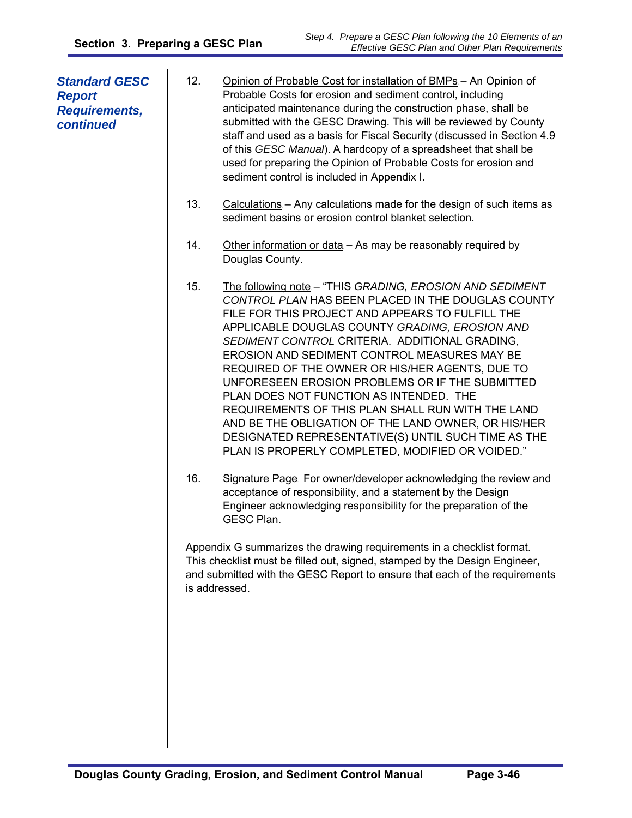| <b>Standard GESC</b><br><b>Report</b><br><b>Requirements,</b><br>continued | 12. | Opinion of Probable Cost for installation of BMPs - An Opinion of<br>Probable Costs for erosion and sediment control, including<br>anticipated maintenance during the construction phase, shall be<br>submitted with the GESC Drawing. This will be reviewed by County<br>staff and used as a basis for Fiscal Security (discussed in Section 4.9<br>of this GESC Manual). A hardcopy of a spreadsheet that shall be<br>used for preparing the Opinion of Probable Costs for erosion and<br>sediment control is included in Appendix I.                                                                                                                                                        |
|----------------------------------------------------------------------------|-----|------------------------------------------------------------------------------------------------------------------------------------------------------------------------------------------------------------------------------------------------------------------------------------------------------------------------------------------------------------------------------------------------------------------------------------------------------------------------------------------------------------------------------------------------------------------------------------------------------------------------------------------------------------------------------------------------|
|                                                                            | 13. | Calculations - Any calculations made for the design of such items as<br>sediment basins or erosion control blanket selection.                                                                                                                                                                                                                                                                                                                                                                                                                                                                                                                                                                  |
|                                                                            | 14. | Other information or data - As may be reasonably required by<br>Douglas County.                                                                                                                                                                                                                                                                                                                                                                                                                                                                                                                                                                                                                |
|                                                                            | 15. | The following note - "THIS GRADING, EROSION AND SEDIMENT<br>CONTROL PLAN HAS BEEN PLACED IN THE DOUGLAS COUNTY<br>FILE FOR THIS PROJECT AND APPEARS TO FULFILL THE<br>APPLICABLE DOUGLAS COUNTY GRADING, EROSION AND<br>SEDIMENT CONTROL CRITERIA. ADDITIONAL GRADING,<br>EROSION AND SEDIMENT CONTROL MEASURES MAY BE<br>REQUIRED OF THE OWNER OR HIS/HER AGENTS, DUE TO<br>UNFORESEEN EROSION PROBLEMS OR IF THE SUBMITTED<br>PLAN DOES NOT FUNCTION AS INTENDED. THE<br>REQUIREMENTS OF THIS PLAN SHALL RUN WITH THE LAND<br>AND BE THE OBLIGATION OF THE LAND OWNER, OR HIS/HER<br>DESIGNATED REPRESENTATIVE(S) UNTIL SUCH TIME AS THE<br>PLAN IS PROPERLY COMPLETED, MODIFIED OR VOIDED." |
|                                                                            | 16. | Signature Page For owner/developer acknowledging the review and<br>acceptance of responsibility, and a statement by the Design<br>Engineer acknowledging responsibility for the preparation of the<br>GESC Plan.                                                                                                                                                                                                                                                                                                                                                                                                                                                                               |
|                                                                            |     | Appendix G summarizes the drawing requirements in a checklist format.<br>This checklist must be filled out, signed, stamped by the Design Engineer,<br>and submitted with the GESC Report to ensure that each of the requirements<br>is addressed.                                                                                                                                                                                                                                                                                                                                                                                                                                             |
|                                                                            |     |                                                                                                                                                                                                                                                                                                                                                                                                                                                                                                                                                                                                                                                                                                |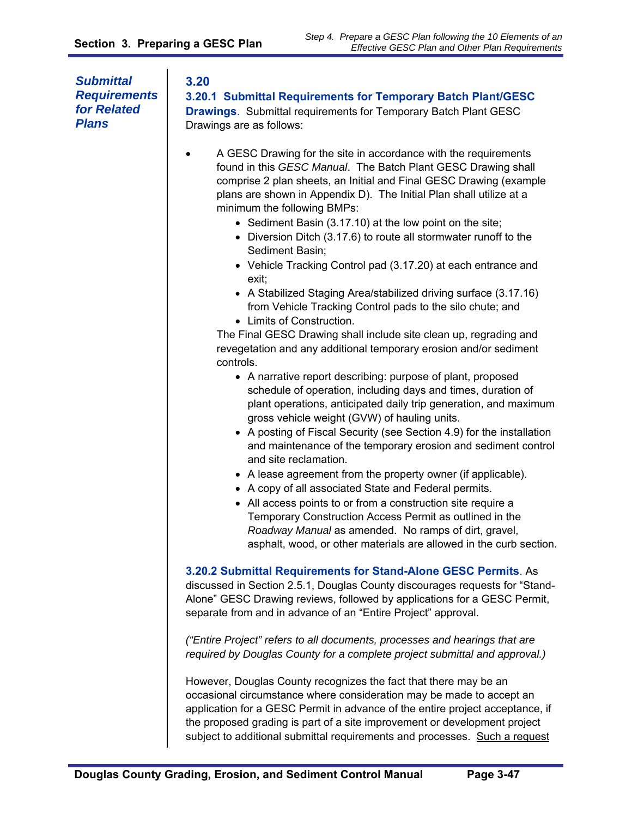*Submittal Requirements for Related Plans* 

#### **3.20**

**3.20.1 Submittal Requirements for Temporary Batch Plant/GESC Drawings**. Submittal requirements for Temporary Batch Plant GESC Drawings are as follows:

- A GESC Drawing for the site in accordance with the requirements found in this *GESC Manual*. The Batch Plant GESC Drawing shall comprise 2 plan sheets, an Initial and Final GESC Drawing (example plans are shown in Appendix D). The Initial Plan shall utilize at a minimum the following BMPs:
	- Sediment Basin (3.17.10) at the low point on the site;
	- Diversion Ditch (3.17.6) to route all stormwater runoff to the Sediment Basin;
	- Vehicle Tracking Control pad (3.17.20) at each entrance and exit;
	- A Stabilized Staging Area/stabilized driving surface (3.17.16) from Vehicle Tracking Control pads to the silo chute; and
	- Limits of Construction.

The Final GESC Drawing shall include site clean up, regrading and revegetation and any additional temporary erosion and/or sediment controls.

- A narrative report describing: purpose of plant, proposed schedule of operation, including days and times, duration of plant operations, anticipated daily trip generation, and maximum gross vehicle weight (GVW) of hauling units.
- A posting of Fiscal Security (see Section 4.9) for the installation and maintenance of the temporary erosion and sediment control and site reclamation.
- A lease agreement from the property owner (if applicable).
- A copy of all associated State and Federal permits.
- All access points to or from a construction site require a Temporary Construction Access Permit as outlined in the *Roadway Manual* as amended. No ramps of dirt, gravel, asphalt, wood, or other materials are allowed in the curb section.

**3.20.2 Submittal Requirements for Stand-Alone GESC Permits**. As

discussed in Section 2.5.1, Douglas County discourages requests for "Stand-Alone" GESC Drawing reviews, followed by applications for a GESC Permit, separate from and in advance of an "Entire Project" approval.

*("Entire Project" refers to all documents, processes and hearings that are required by Douglas County for a complete project submittal and approval.)* 

However, Douglas County recognizes the fact that there may be an occasional circumstance where consideration may be made to accept an application for a GESC Permit in advance of the entire project acceptance, if the proposed grading is part of a site improvement or development project subject to additional submittal requirements and processes. Such a request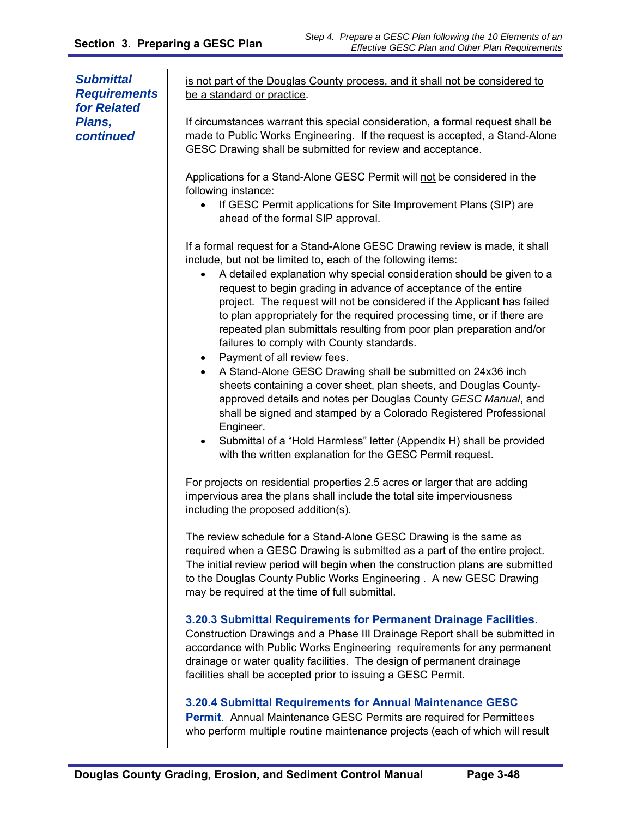*Submittal Requirements for Related Plans, continued* 

is not part of the Douglas County process, and it shall not be considered to be a standard or practice.

If circumstances warrant this special consideration, a formal request shall be made to Public Works Engineering. If the request is accepted, a Stand-Alone GESC Drawing shall be submitted for review and acceptance.

Applications for a Stand-Alone GESC Permit will not be considered in the following instance:

• If GESC Permit applications for Site Improvement Plans (SIP) are ahead of the formal SIP approval.

If a formal request for a Stand-Alone GESC Drawing review is made, it shall include, but not be limited to, each of the following items:

- A detailed explanation why special consideration should be given to a request to begin grading in advance of acceptance of the entire project. The request will not be considered if the Applicant has failed to plan appropriately for the required processing time, or if there are repeated plan submittals resulting from poor plan preparation and/or failures to comply with County standards.
- Payment of all review fees.
- A Stand-Alone GESC Drawing shall be submitted on 24x36 inch sheets containing a cover sheet, plan sheets, and Douglas Countyapproved details and notes per Douglas County *GESC Manual*, and shall be signed and stamped by a Colorado Registered Professional Engineer.
- Submittal of a "Hold Harmless" letter (Appendix H) shall be provided with the written explanation for the GESC Permit request.

For projects on residential properties 2.5 acres or larger that are adding impervious area the plans shall include the total site imperviousness including the proposed addition(s).

The review schedule for a Stand-Alone GESC Drawing is the same as required when a GESC Drawing is submitted as a part of the entire project. The initial review period will begin when the construction plans are submitted to the Douglas County Public Works Engineering . A new GESC Drawing may be required at the time of full submittal.

#### **3.20.3 Submittal Requirements for Permanent Drainage Facilities**.

Construction Drawings and a Phase III Drainage Report shall be submitted in accordance with Public Works Engineering requirements for any permanent drainage or water quality facilities. The design of permanent drainage facilities shall be accepted prior to issuing a GESC Permit.

#### **3.20.4 Submittal Requirements for Annual Maintenance GESC**

**Permit**. Annual Maintenance GESC Permits are required for Permittees who perform multiple routine maintenance projects (each of which will result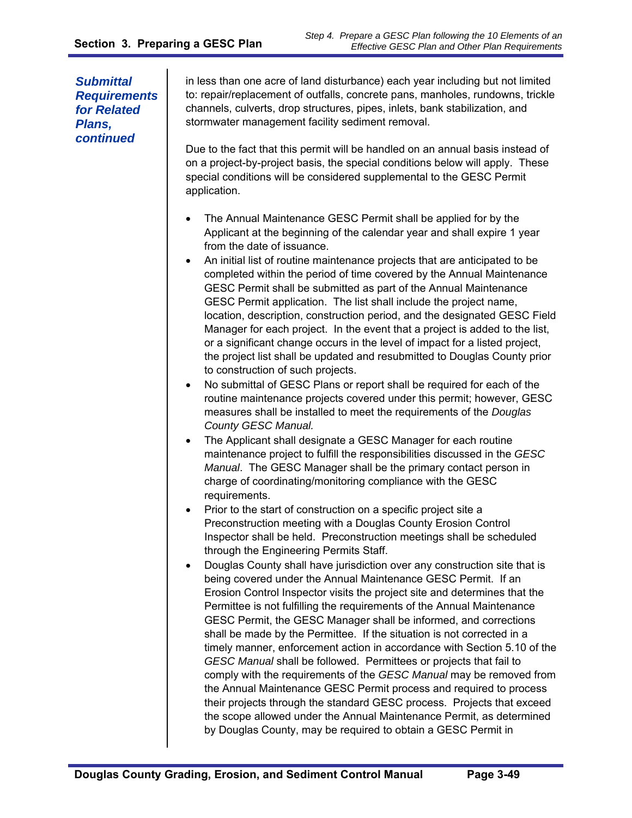*Submittal Requirements for Related Plans, continued* 

in less than one acre of land disturbance) each year including but not limited to: repair/replacement of outfalls, concrete pans, manholes, rundowns, trickle channels, culverts, drop structures, pipes, inlets, bank stabilization, and stormwater management facility sediment removal.

Due to the fact that this permit will be handled on an annual basis instead of on a project-by-project basis, the special conditions below will apply. These special conditions will be considered supplemental to the GESC Permit application.

- The Annual Maintenance GESC Permit shall be applied for by the Applicant at the beginning of the calendar year and shall expire 1 year from the date of issuance.
- An initial list of routine maintenance projects that are anticipated to be completed within the period of time covered by the Annual Maintenance GESC Permit shall be submitted as part of the Annual Maintenance GESC Permit application. The list shall include the project name, location, description, construction period, and the designated GESC Field Manager for each project. In the event that a project is added to the list, or a significant change occurs in the level of impact for a listed project, the project list shall be updated and resubmitted to Douglas County prior to construction of such projects.
- No submittal of GESC Plans or report shall be required for each of the routine maintenance projects covered under this permit; however, GESC measures shall be installed to meet the requirements of the *Douglas County GESC Manual.*
- The Applicant shall designate a GESC Manager for each routine maintenance project to fulfill the responsibilities discussed in the *GESC Manual*. The GESC Manager shall be the primary contact person in charge of coordinating/monitoring compliance with the GESC requirements.
- Prior to the start of construction on a specific project site a Preconstruction meeting with a Douglas County Erosion Control Inspector shall be held. Preconstruction meetings shall be scheduled through the Engineering Permits Staff.
- Douglas County shall have jurisdiction over any construction site that is being covered under the Annual Maintenance GESC Permit. If an Erosion Control Inspector visits the project site and determines that the Permittee is not fulfilling the requirements of the Annual Maintenance GESC Permit, the GESC Manager shall be informed, and corrections shall be made by the Permittee. If the situation is not corrected in a timely manner, enforcement action in accordance with Section 5.10 of the *GESC Manual* shall be followed. Permittees or projects that fail to comply with the requirements of the *GESC Manual* may be removed from the Annual Maintenance GESC Permit process and required to process their projects through the standard GESC process. Projects that exceed the scope allowed under the Annual Maintenance Permit, as determined by Douglas County, may be required to obtain a GESC Permit in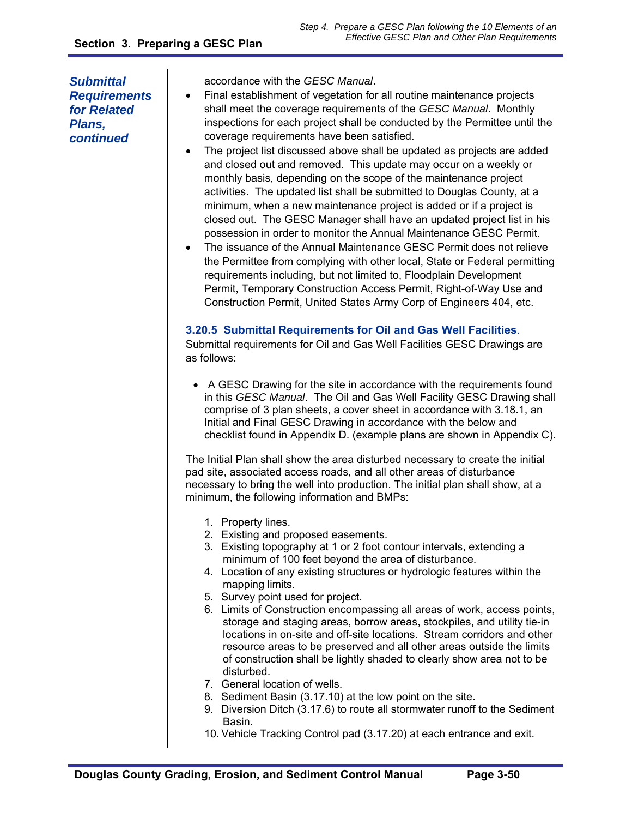*Submittal Requirements for Related Plans, continued* 

accordance with the *GESC Manual*.

- Final establishment of vegetation for all routine maintenance projects shall meet the coverage requirements of the *GESC Manual*. Monthly inspections for each project shall be conducted by the Permittee until the coverage requirements have been satisfied.
- The project list discussed above shall be updated as projects are added and closed out and removed. This update may occur on a weekly or monthly basis, depending on the scope of the maintenance project activities. The updated list shall be submitted to Douglas County, at a minimum, when a new maintenance project is added or if a project is closed out. The GESC Manager shall have an updated project list in his possession in order to monitor the Annual Maintenance GESC Permit.
- The issuance of the Annual Maintenance GESC Permit does not relieve the Permittee from complying with other local, State or Federal permitting requirements including, but not limited to, Floodplain Development Permit, Temporary Construction Access Permit, Right-of-Way Use and Construction Permit, United States Army Corp of Engineers 404, etc.

#### **3.20.5 Submittal Requirements for Oil and Gas Well Facilities**.

Submittal requirements for Oil and Gas Well Facilities GESC Drawings are as follows:

 A GESC Drawing for the site in accordance with the requirements found in this *GESC Manual*. The Oil and Gas Well Facility GESC Drawing shall comprise of 3 plan sheets, a cover sheet in accordance with 3.18.1, an Initial and Final GESC Drawing in accordance with the below and checklist found in Appendix D. (example plans are shown in Appendix C).

The Initial Plan shall show the area disturbed necessary to create the initial pad site, associated access roads, and all other areas of disturbance necessary to bring the well into production. The initial plan shall show, at a minimum, the following information and BMPs:

- 1. Property lines.
- 2. Existing and proposed easements.
- 3. Existing topography at 1 or 2 foot contour intervals, extending a minimum of 100 feet beyond the area of disturbance.
- 4. Location of any existing structures or hydrologic features within the mapping limits.
- 5. Survey point used for project.
- 6. Limits of Construction encompassing all areas of work, access points, storage and staging areas, borrow areas, stockpiles, and utility tie-in locations in on-site and off-site locations. Stream corridors and other resource areas to be preserved and all other areas outside the limits of construction shall be lightly shaded to clearly show area not to be disturbed.
- 7. General location of wells.
- 8. Sediment Basin (3.17.10) at the low point on the site.
- 9. Diversion Ditch (3.17.6) to route all stormwater runoff to the Sediment Basin.
- 10. Vehicle Tracking Control pad (3.17.20) at each entrance and exit.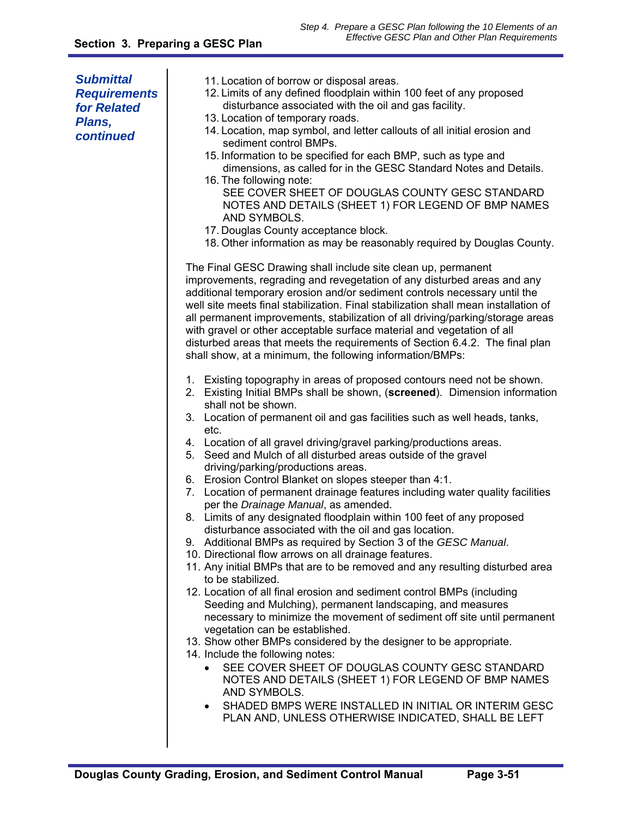| <b>Submittal</b><br><b>Requirements</b><br>for Related<br>Plans,<br>continued | 11. Location of borrow or disposal areas.<br>12. Limits of any defined floodplain within 100 feet of any proposed<br>disturbance associated with the oil and gas facility.<br>13. Location of temporary roads.<br>14. Location, map symbol, and letter callouts of all initial erosion and<br>sediment control BMPs.<br>15. Information to be specified for each BMP, such as type and<br>dimensions, as called for in the GESC Standard Notes and Details.<br>16. The following note:<br>SEE COVER SHEET OF DOUGLAS COUNTY GESC STANDARD<br>NOTES AND DETAILS (SHEET 1) FOR LEGEND OF BMP NAMES<br>AND SYMBOLS.<br>17. Douglas County acceptance block.<br>18. Other information as may be reasonably required by Douglas County.                                                                                                                                                                                                                                                                                                                                                                                                                                                                                                                                                                                                                                                                                                                                                                                                                                                                                                         |
|-------------------------------------------------------------------------------|--------------------------------------------------------------------------------------------------------------------------------------------------------------------------------------------------------------------------------------------------------------------------------------------------------------------------------------------------------------------------------------------------------------------------------------------------------------------------------------------------------------------------------------------------------------------------------------------------------------------------------------------------------------------------------------------------------------------------------------------------------------------------------------------------------------------------------------------------------------------------------------------------------------------------------------------------------------------------------------------------------------------------------------------------------------------------------------------------------------------------------------------------------------------------------------------------------------------------------------------------------------------------------------------------------------------------------------------------------------------------------------------------------------------------------------------------------------------------------------------------------------------------------------------------------------------------------------------------------------------------------------------|
|                                                                               | The Final GESC Drawing shall include site clean up, permanent<br>improvements, regrading and revegetation of any disturbed areas and any<br>additional temporary erosion and/or sediment controls necessary until the<br>well site meets final stabilization. Final stabilization shall mean installation of<br>all permanent improvements, stabilization of all driving/parking/storage areas<br>with gravel or other acceptable surface material and vegetation of all<br>disturbed areas that meets the requirements of Section 6.4.2. The final plan<br>shall show, at a minimum, the following information/BMPs:                                                                                                                                                                                                                                                                                                                                                                                                                                                                                                                                                                                                                                                                                                                                                                                                                                                                                                                                                                                                                      |
|                                                                               | 1. Existing topography in areas of proposed contours need not be shown.<br>2. Existing Initial BMPs shall be shown, (screened). Dimension information<br>shall not be shown.<br>3. Location of permanent oil and gas facilities such as well heads, tanks,<br>etc.<br>4. Location of all gravel driving/gravel parking/productions areas.<br>5. Seed and Mulch of all disturbed areas outside of the gravel<br>driving/parking/productions areas.<br>6. Erosion Control Blanket on slopes steeper than 4:1.<br>7. Location of permanent drainage features including water quality facilities<br>per the Drainage Manual, as amended.<br>8. Limits of any designated floodplain within 100 feet of any proposed<br>disturbance associated with the oil and gas location.<br>9. Additional BMPs as required by Section 3 of the GESC Manual.<br>10. Directional flow arrows on all drainage features.<br>11. Any initial BMPs that are to be removed and any resulting disturbed area<br>to be stabilized.<br>12. Location of all final erosion and sediment control BMPs (including<br>Seeding and Mulching), permanent landscaping, and measures<br>necessary to minimize the movement of sediment off site until permanent<br>vegetation can be established.<br>13. Show other BMPs considered by the designer to be appropriate.<br>14. Include the following notes:<br>SEE COVER SHEET OF DOUGLAS COUNTY GESC STANDARD<br>$\bullet$<br>NOTES AND DETAILS (SHEET 1) FOR LEGEND OF BMP NAMES<br>AND SYMBOLS.<br>SHADED BMPS WERE INSTALLED IN INITIAL OR INTERIM GESC<br>$\bullet$<br>PLAN AND, UNLESS OTHERWISE INDICATED, SHALL BE LEFT |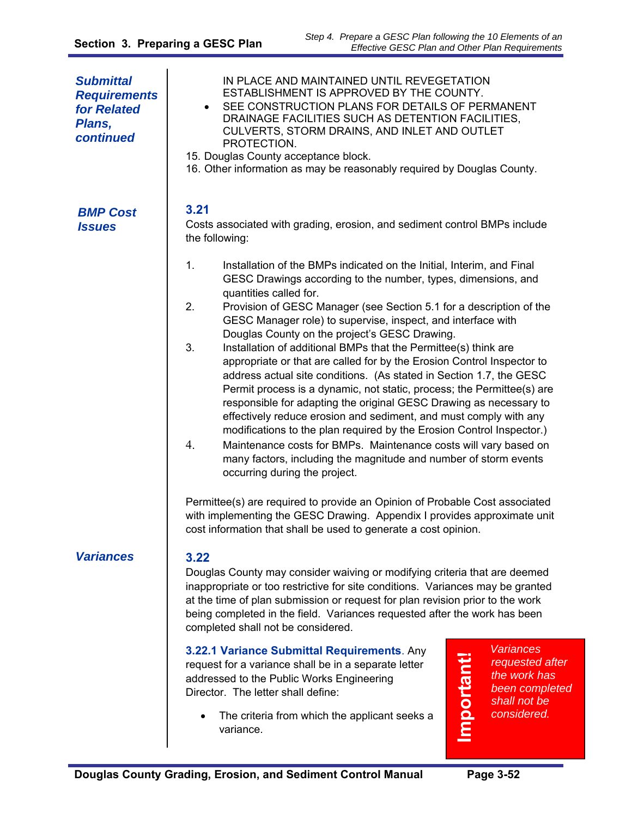| <b>Submittal</b><br><b>Requirements</b><br>for Related<br>Plans,<br>continued | IN PLACE AND MAINTAINED UNTIL REVEGETATION<br>ESTABLISHMENT IS APPROVED BY THE COUNTY.<br>SEE CONSTRUCTION PLANS FOR DETAILS OF PERMANENT<br>$\bullet$<br>DRAINAGE FACILITIES SUCH AS DETENTION FACILITIES,<br>CULVERTS, STORM DRAINS, AND INLET AND OUTLET<br>PROTECTION.<br>15. Douglas County acceptance block.<br>16. Other information as may be reasonably required by Douglas County.                                                                                                                                                                                                                                                                                                                                                                                                                                                                                                                                                                                                                                                                                                                                                                                                                                                                                                              |
|-------------------------------------------------------------------------------|-----------------------------------------------------------------------------------------------------------------------------------------------------------------------------------------------------------------------------------------------------------------------------------------------------------------------------------------------------------------------------------------------------------------------------------------------------------------------------------------------------------------------------------------------------------------------------------------------------------------------------------------------------------------------------------------------------------------------------------------------------------------------------------------------------------------------------------------------------------------------------------------------------------------------------------------------------------------------------------------------------------------------------------------------------------------------------------------------------------------------------------------------------------------------------------------------------------------------------------------------------------------------------------------------------------|
| <b>BMP Cost</b><br><i><b>Issues</b></i>                                       | 3.21<br>Costs associated with grading, erosion, and sediment control BMPs include<br>the following:                                                                                                                                                                                                                                                                                                                                                                                                                                                                                                                                                                                                                                                                                                                                                                                                                                                                                                                                                                                                                                                                                                                                                                                                       |
|                                                                               | 1.<br>Installation of the BMPs indicated on the Initial, Interim, and Final<br>GESC Drawings according to the number, types, dimensions, and<br>quantities called for.<br>2.<br>Provision of GESC Manager (see Section 5.1 for a description of the<br>GESC Manager role) to supervise, inspect, and interface with<br>Douglas County on the project's GESC Drawing.<br>3.<br>Installation of additional BMPs that the Permittee(s) think are<br>appropriate or that are called for by the Erosion Control Inspector to<br>address actual site conditions. (As stated in Section 1.7, the GESC<br>Permit process is a dynamic, not static, process; the Permittee(s) are<br>responsible for adapting the original GESC Drawing as necessary to<br>effectively reduce erosion and sediment, and must comply with any<br>modifications to the plan required by the Erosion Control Inspector.)<br>4.<br>Maintenance costs for BMPs. Maintenance costs will vary based on<br>many factors, including the magnitude and number of storm events<br>occurring during the project.<br>Permittee(s) are required to provide an Opinion of Probable Cost associated<br>with implementing the GESC Drawing. Appendix I provides approximate unit<br>cost information that shall be used to generate a cost opinion. |
| <b>Variances</b>                                                              | 3.22<br>Douglas County may consider waiving or modifying criteria that are deemed<br>inappropriate or too restrictive for site conditions. Variances may be granted<br>at the time of plan submission or request for plan revision prior to the work<br>being completed in the field. Variances requested after the work has been<br>completed shall not be considered.                                                                                                                                                                                                                                                                                                                                                                                                                                                                                                                                                                                                                                                                                                                                                                                                                                                                                                                                   |
|                                                                               | <b>Variances</b><br>3.22.1 Variance Submittal Requirements. Any<br><b>Important!</b><br>requested after<br>request for a variance shall be in a separate letter<br>the work has<br>addressed to the Public Works Engineering<br>been completed<br>Director. The letter shall define:<br>shall not be<br>considered.<br>The criteria from which the applicant seeks a<br>variance.                                                                                                                                                                                                                                                                                                                                                                                                                                                                                                                                                                                                                                                                                                                                                                                                                                                                                                                         |

a<br>Ba

≐